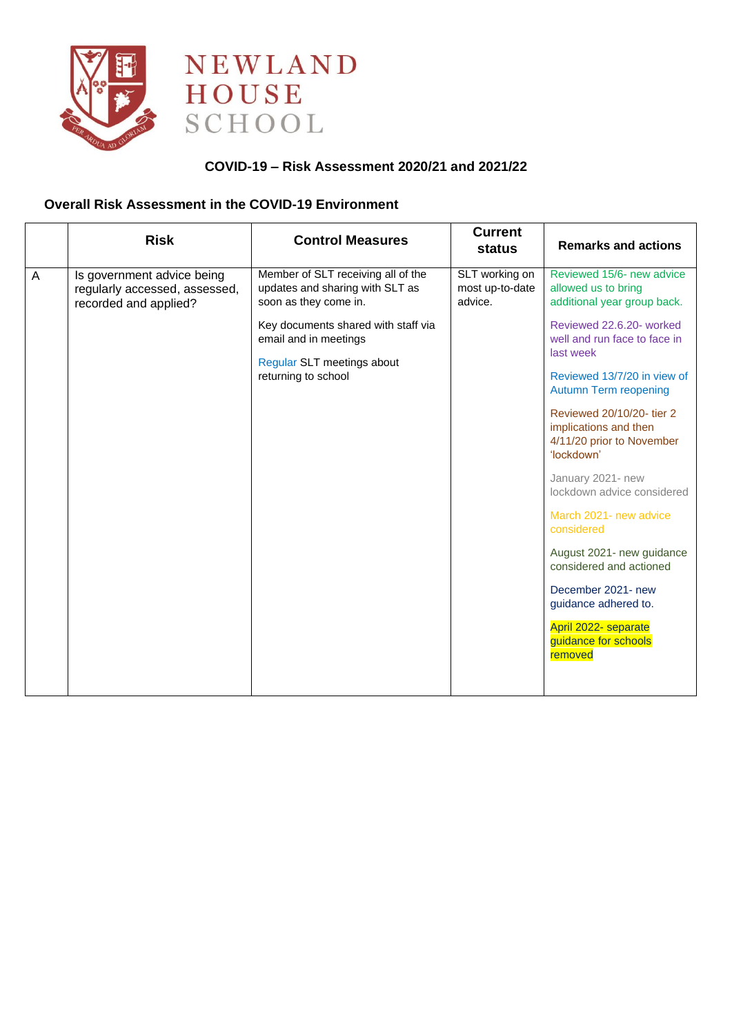



## **COVID-19 – Risk Assessment 2020/21 and 2021/22**

#### **Overall Risk Assessment in the COVID-19 Environment**

|                | <b>Risk</b>                                                                          | <b>Control Measures</b>                                                                                                                                                                                             | <b>Current</b><br>status                     | <b>Remarks and actions</b>                                                                                                                                                                                                                                                                                                                                                                                          |
|----------------|--------------------------------------------------------------------------------------|---------------------------------------------------------------------------------------------------------------------------------------------------------------------------------------------------------------------|----------------------------------------------|---------------------------------------------------------------------------------------------------------------------------------------------------------------------------------------------------------------------------------------------------------------------------------------------------------------------------------------------------------------------------------------------------------------------|
| $\overline{A}$ | Is government advice being<br>regularly accessed, assessed,<br>recorded and applied? | Member of SLT receiving all of the<br>updates and sharing with SLT as<br>soon as they come in.<br>Key documents shared with staff via<br>email and in meetings<br>Regular SLT meetings about<br>returning to school | SLT working on<br>most up-to-date<br>advice. | Reviewed 15/6- new advice<br>allowed us to bring<br>additional year group back.<br>Reviewed 22.6.20- worked<br>well and run face to face in<br>last week<br>Reviewed 13/7/20 in view of<br><b>Autumn Term reopening</b><br>Reviewed 20/10/20- tier 2<br>implications and then<br>4/11/20 prior to November<br>'lockdown'<br>January 2021- new<br>lockdown advice considered<br>March 2021- new advice<br>considered |
|                |                                                                                      |                                                                                                                                                                                                                     |                                              | August 2021- new guidance<br>considered and actioned<br>December 2021- new<br>guidance adhered to.<br>April 2022- separate<br>guidance for schools<br>removed                                                                                                                                                                                                                                                       |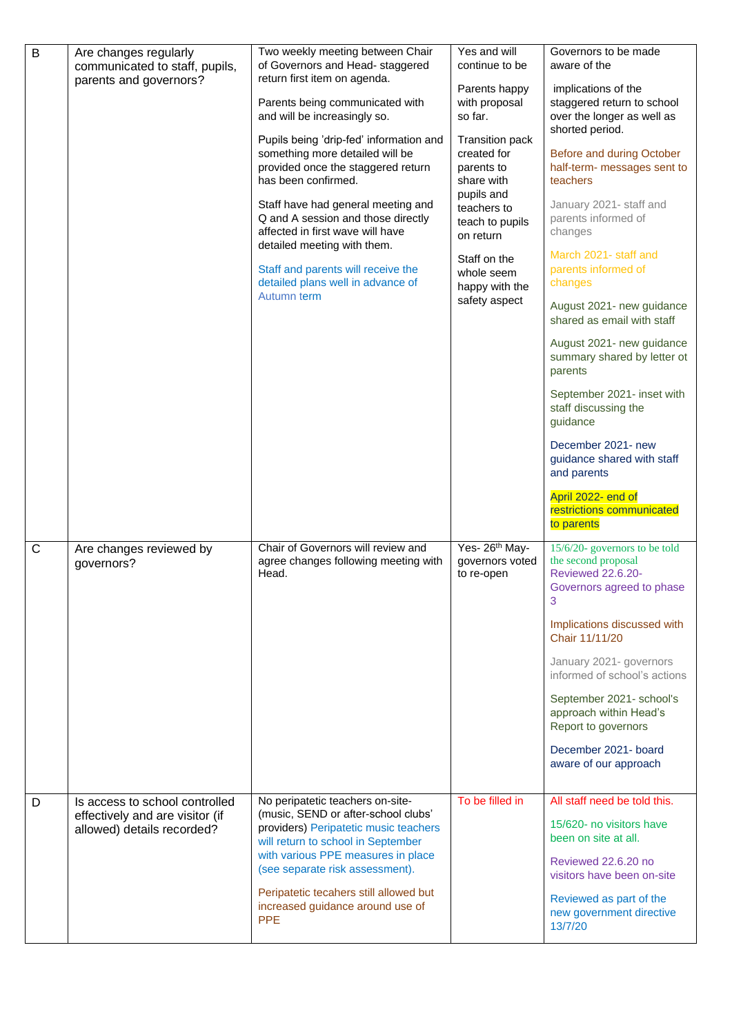| $\mathsf B$ | Are changes regularly<br>communicated to staff, pupils,<br>parents and governors?               | Two weekly meeting between Chair<br>of Governors and Head- staggered<br>return first item on agenda.<br>Parents being communicated with<br>and will be increasingly so.<br>Pupils being 'drip-fed' information and<br>something more detailed will be<br>provided once the staggered return<br>has been confirmed.<br>Staff have had general meeting and<br>Q and A session and those directly<br>affected in first wave will have<br>detailed meeting with them.<br>Staff and parents will receive the<br>detailed plans well in advance of<br>Autumn term | Yes and will<br>continue to be<br>Parents happy<br>with proposal<br>so far.<br><b>Transition pack</b><br>created for<br>parents to<br>share with<br>pupils and<br>teachers to<br>teach to pupils<br>on return<br>Staff on the<br>whole seem<br>happy with the<br>safety aspect | Governors to be made<br>aware of the<br>implications of the<br>staggered return to school<br>over the longer as well as<br>shorted period.<br>Before and during October<br>half-term- messages sent to<br>teachers<br>January 2021- staff and<br>parents informed of<br>changes<br>March 2021- staff and<br>parents informed of<br>changes<br>August 2021- new guidance<br>shared as email with staff<br>August 2021- new guidance<br>summary shared by letter ot<br>parents<br>September 2021- inset with<br>staff discussing the<br>guidance<br>December 2021- new<br>guidance shared with staff<br>and parents<br>April 2022- end of<br>restrictions communicated<br>to parents |
|-------------|-------------------------------------------------------------------------------------------------|-------------------------------------------------------------------------------------------------------------------------------------------------------------------------------------------------------------------------------------------------------------------------------------------------------------------------------------------------------------------------------------------------------------------------------------------------------------------------------------------------------------------------------------------------------------|--------------------------------------------------------------------------------------------------------------------------------------------------------------------------------------------------------------------------------------------------------------------------------|------------------------------------------------------------------------------------------------------------------------------------------------------------------------------------------------------------------------------------------------------------------------------------------------------------------------------------------------------------------------------------------------------------------------------------------------------------------------------------------------------------------------------------------------------------------------------------------------------------------------------------------------------------------------------------|
| C           | Are changes reviewed by<br>governors?                                                           | Chair of Governors will review and<br>agree changes following meeting with<br>Head.                                                                                                                                                                                                                                                                                                                                                                                                                                                                         | Yes- 26 <sup>th</sup> May-<br>governors voted<br>to re-open                                                                                                                                                                                                                    | 15/6/20- governors to be told<br>the second proposal<br><b>Reviewed 22.6.20-</b><br>Governors agreed to phase<br>3<br>Implications discussed with<br>Chair 11/11/20<br>January 2021- governors<br>informed of school's actions<br>September 2021- school's<br>approach within Head's<br>Report to governors<br>December 2021- board<br>aware of our approach                                                                                                                                                                                                                                                                                                                       |
| D           | Is access to school controlled<br>effectively and are visitor (if<br>allowed) details recorded? | No peripatetic teachers on-site-<br>(music, SEND or after-school clubs'<br>providers) Peripatetic music teachers<br>will return to school in September<br>with various PPE measures in place<br>(see separate risk assessment).<br>Peripatetic tecahers still allowed but<br>increased guidance around use of<br><b>PPE</b>                                                                                                                                                                                                                                 | To be filled in                                                                                                                                                                                                                                                                | All staff need be told this.<br>15/620- no visitors have<br>been on site at all.<br>Reviewed 22.6.20 no<br>visitors have been on-site<br>Reviewed as part of the<br>new government directive<br>13/7/20                                                                                                                                                                                                                                                                                                                                                                                                                                                                            |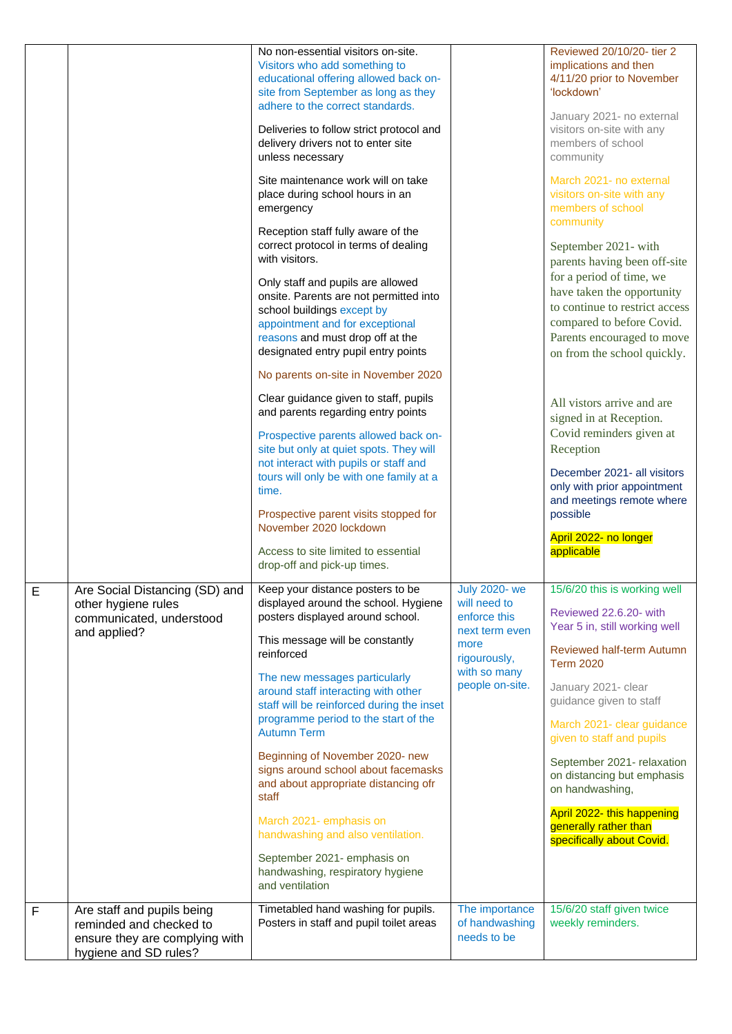|             |                                                                                                                  | No non-essential visitors on-site.<br>Visitors who add something to<br>educational offering allowed back on-<br>site from September as long as they<br>adhere to the correct standards.<br>Deliveries to follow strict protocol and<br>delivery drivers not to enter site<br>unless necessary<br>Site maintenance work will on take<br>place during school hours in an<br>emergency<br>Reception staff fully aware of the<br>correct protocol in terms of dealing<br>with visitors.<br>Only staff and pupils are allowed<br>onsite. Parents are not permitted into<br>school buildings except by<br>appointment and for exceptional<br>reasons and must drop off at the<br>designated entry pupil entry points<br>No parents on-site in November 2020<br>Clear guidance given to staff, pupils<br>and parents regarding entry points<br>Prospective parents allowed back on-<br>site but only at quiet spots. They will<br>not interact with pupils or staff and<br>tours will only be with one family at a<br>time.<br>Prospective parent visits stopped for<br>November 2020 lockdown |                                                                                                                                  | Reviewed 20/10/20- tier 2<br>implications and then<br>4/11/20 prior to November<br>'lockdown'<br>January 2021- no external<br>visitors on-site with any<br>members of school<br>community<br>March 2021- no external<br>visitors on-site with any<br>members of school<br>community<br>September 2021- with<br>parents having been off-site<br>for a period of time, we<br>have taken the opportunity<br>to continue to restrict access<br>compared to before Covid.<br>Parents encouraged to move<br>on from the school quickly.<br>All vistors arrive and are<br>signed in at Reception.<br>Covid reminders given at<br>Reception<br>December 2021- all visitors<br>only with prior appointment<br>and meetings remote where<br>possible<br>April 2022- no longer |
|-------------|------------------------------------------------------------------------------------------------------------------|-----------------------------------------------------------------------------------------------------------------------------------------------------------------------------------------------------------------------------------------------------------------------------------------------------------------------------------------------------------------------------------------------------------------------------------------------------------------------------------------------------------------------------------------------------------------------------------------------------------------------------------------------------------------------------------------------------------------------------------------------------------------------------------------------------------------------------------------------------------------------------------------------------------------------------------------------------------------------------------------------------------------------------------------------------------------------------------------|----------------------------------------------------------------------------------------------------------------------------------|---------------------------------------------------------------------------------------------------------------------------------------------------------------------------------------------------------------------------------------------------------------------------------------------------------------------------------------------------------------------------------------------------------------------------------------------------------------------------------------------------------------------------------------------------------------------------------------------------------------------------------------------------------------------------------------------------------------------------------------------------------------------|
|             |                                                                                                                  | Access to site limited to essential<br>drop-off and pick-up times.                                                                                                                                                                                                                                                                                                                                                                                                                                                                                                                                                                                                                                                                                                                                                                                                                                                                                                                                                                                                                      |                                                                                                                                  | applicable                                                                                                                                                                                                                                                                                                                                                                                                                                                                                                                                                                                                                                                                                                                                                          |
| E           | Are Social Distancing (SD) and<br>other hygiene rules<br>communicated, understood<br>and applied?                | Keep your distance posters to be<br>displayed around the school. Hygiene<br>posters displayed around school.<br>This message will be constantly<br>reinforced<br>The new messages particularly<br>around staff interacting with other<br>staff will be reinforced during the inset<br>programme period to the start of the<br><b>Autumn Term</b><br>Beginning of November 2020- new<br>signs around school about facemasks<br>and about appropriate distancing ofr<br>staff<br>March 2021- emphasis on<br>handwashing and also ventilation.<br>September 2021- emphasis on<br>handwashing, respiratory hygiene<br>and ventilation                                                                                                                                                                                                                                                                                                                                                                                                                                                       | <b>July 2020-we</b><br>will need to<br>enforce this<br>next term even<br>more<br>rigourously,<br>with so many<br>people on-site. | 15/6/20 this is working well<br>Reviewed 22.6.20- with<br>Year 5 in, still working well<br>Reviewed half-term Autumn<br><b>Term 2020</b><br>January 2021- clear<br>guidance given to staff<br>March 2021- clear guidance<br>given to staff and pupils<br>September 2021- relaxation<br>on distancing but emphasis<br>on handwashing,<br>April 2022- this happening<br>generally rather than<br>specifically about Covid.                                                                                                                                                                                                                                                                                                                                            |
| $\mathsf F$ | Are staff and pupils being<br>reminded and checked to<br>ensure they are complying with<br>hygiene and SD rules? | Timetabled hand washing for pupils.<br>Posters in staff and pupil toilet areas                                                                                                                                                                                                                                                                                                                                                                                                                                                                                                                                                                                                                                                                                                                                                                                                                                                                                                                                                                                                          | The importance<br>of handwashing<br>needs to be                                                                                  | 15/6/20 staff given twice<br>weekly reminders.                                                                                                                                                                                                                                                                                                                                                                                                                                                                                                                                                                                                                                                                                                                      |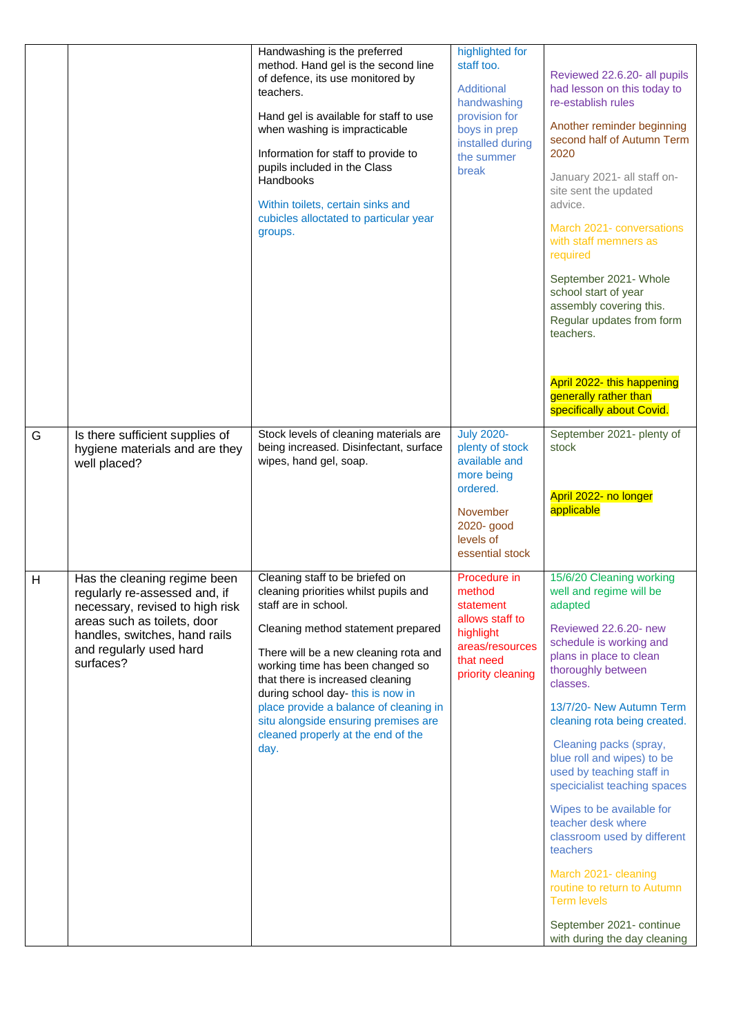|   |                                                                                                                                                                                                          | Handwashing is the preferred<br>method. Hand gel is the second line<br>of defence, its use monitored by<br>teachers.<br>Hand gel is available for staff to use<br>when washing is impracticable<br>Information for staff to provide to<br>pupils included in the Class<br>Handbooks<br>Within toilets, certain sinks and<br>cubicles alloctated to particular year<br>groups.                                               | highlighted for<br>staff too.<br>Additional<br>handwashing<br>provision for<br>boys in prep<br>installed during<br>the summer<br>break           | Reviewed 22.6.20- all pupils<br>had lesson on this today to<br>re-establish rules<br>Another reminder beginning<br>second half of Autumn Term<br>2020<br>January 2021- all staff on-<br>site sent the updated<br>advice.<br>March 2021- conversations<br>with staff memners as<br>required<br>September 2021- Whole<br>school start of year<br>assembly covering this.<br>Regular updates from form<br>teachers.<br>April 2022- this happening<br>generally rather than<br>specifically about Covid.                                                                                                    |
|---|----------------------------------------------------------------------------------------------------------------------------------------------------------------------------------------------------------|-----------------------------------------------------------------------------------------------------------------------------------------------------------------------------------------------------------------------------------------------------------------------------------------------------------------------------------------------------------------------------------------------------------------------------|--------------------------------------------------------------------------------------------------------------------------------------------------|---------------------------------------------------------------------------------------------------------------------------------------------------------------------------------------------------------------------------------------------------------------------------------------------------------------------------------------------------------------------------------------------------------------------------------------------------------------------------------------------------------------------------------------------------------------------------------------------------------|
| G | Is there sufficient supplies of<br>hygiene materials and are they<br>well placed?                                                                                                                        | Stock levels of cleaning materials are<br>being increased. Disinfectant, surface<br>wipes, hand gel, soap.                                                                                                                                                                                                                                                                                                                  | <b>July 2020-</b><br>plenty of stock<br>available and<br>more being<br>ordered.<br><b>November</b><br>2020- good<br>levels of<br>essential stock | September 2021- plenty of<br>stock<br>April 2022- no longer<br>applicable                                                                                                                                                                                                                                                                                                                                                                                                                                                                                                                               |
| Н | Has the cleaning regime been<br>regularly re-assessed and, if<br>necessary, revised to high risk<br>areas such as toilets, door<br>handles, switches, hand rails<br>and regularly used hard<br>surfaces? | Cleaning staff to be briefed on<br>cleaning priorities whilst pupils and<br>staff are in school.<br>Cleaning method statement prepared<br>There will be a new cleaning rota and<br>working time has been changed so<br>that there is increased cleaning<br>during school day-this is now in<br>place provide a balance of cleaning in<br>situ alongside ensuring premises are<br>cleaned properly at the end of the<br>day. | Procedure in<br>method<br>statement<br>allows staff to<br>highlight<br>areas/resources<br>that need<br>priority cleaning                         | 15/6/20 Cleaning working<br>well and regime will be<br>adapted<br>Reviewed 22.6.20- new<br>schedule is working and<br>plans in place to clean<br>thoroughly between<br>classes.<br>13/7/20- New Autumn Term<br>cleaning rota being created.<br>Cleaning packs (spray,<br>blue roll and wipes) to be<br>used by teaching staff in<br>specicialist teaching spaces<br>Wipes to be available for<br>teacher desk where<br>classroom used by different<br>teachers<br>March 2021- cleaning<br>routine to return to Autumn<br><b>Term levels</b><br>September 2021- continue<br>with during the day cleaning |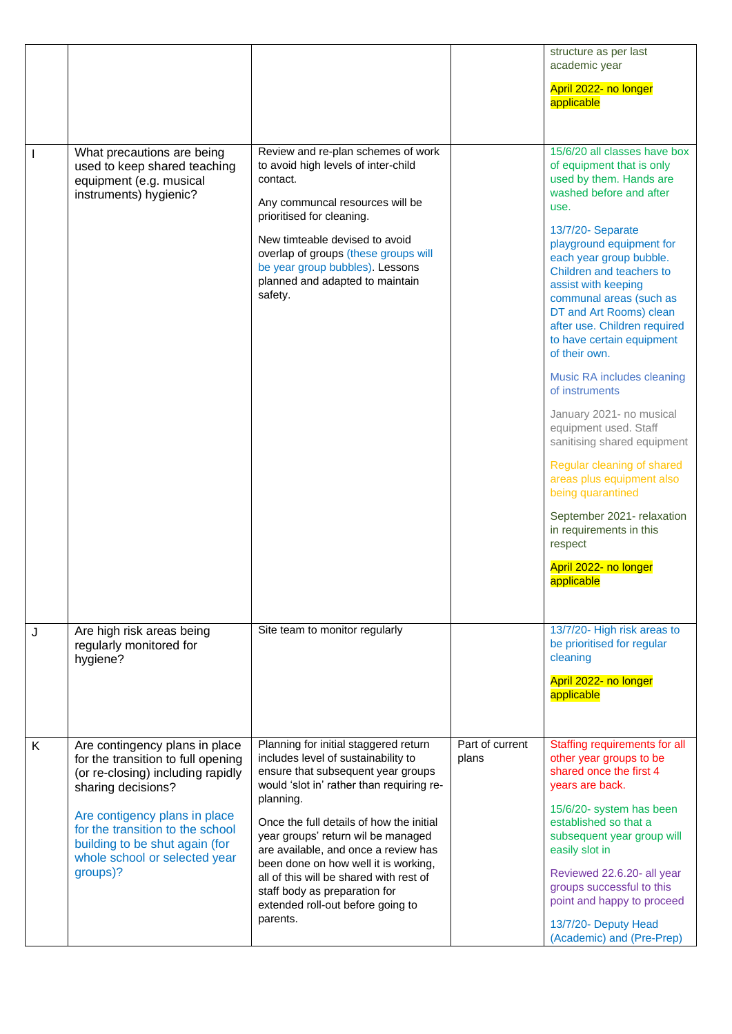|              |                                                                                                                                                                                                                                                                                     |                                                                                                                                                                                                                                                                                                                                                                                                                                                                             |                          | structure as per last<br>academic year<br>April 2022- no longer<br>applicable                                                                                                                                                                                                                                                                                                                                                                                                                                                                                                                                                                                                                                             |
|--------------|-------------------------------------------------------------------------------------------------------------------------------------------------------------------------------------------------------------------------------------------------------------------------------------|-----------------------------------------------------------------------------------------------------------------------------------------------------------------------------------------------------------------------------------------------------------------------------------------------------------------------------------------------------------------------------------------------------------------------------------------------------------------------------|--------------------------|---------------------------------------------------------------------------------------------------------------------------------------------------------------------------------------------------------------------------------------------------------------------------------------------------------------------------------------------------------------------------------------------------------------------------------------------------------------------------------------------------------------------------------------------------------------------------------------------------------------------------------------------------------------------------------------------------------------------------|
| $\mathbf{I}$ | What precautions are being<br>used to keep shared teaching<br>equipment (e.g. musical<br>instruments) hygienic?                                                                                                                                                                     | Review and re-plan schemes of work<br>to avoid high levels of inter-child<br>contact.<br>Any communcal resources will be<br>prioritised for cleaning.<br>New timteable devised to avoid<br>overlap of groups (these groups will<br>be year group bubbles). Lessons<br>planned and adapted to maintain<br>safety.                                                                                                                                                            |                          | 15/6/20 all classes have box<br>of equipment that is only<br>used by them. Hands are<br>washed before and after<br>use.<br>13/7/20- Separate<br>playground equipment for<br>each year group bubble.<br>Children and teachers to<br>assist with keeping<br>communal areas (such as<br>DT and Art Rooms) clean<br>after use. Children required<br>to have certain equipment<br>of their own.<br>Music RA includes cleaning<br>of instruments<br>January 2021- no musical<br>equipment used. Staff<br>sanitising shared equipment<br>Regular cleaning of shared<br>areas plus equipment also<br>being quarantined<br>September 2021- relaxation<br>in requirements in this<br>respect<br>April 2022- no longer<br>applicable |
| J            | Are high risk areas being<br>regularly monitored for<br>hygiene?                                                                                                                                                                                                                    | Site team to monitor regularly                                                                                                                                                                                                                                                                                                                                                                                                                                              |                          | 13/7/20- High risk areas to<br>be prioritised for regular<br>cleaning<br>April 2022- no longer<br>applicable                                                                                                                                                                                                                                                                                                                                                                                                                                                                                                                                                                                                              |
| K            | Are contingency plans in place<br>for the transition to full opening<br>(or re-closing) including rapidly<br>sharing decisions?<br>Are contigency plans in place<br>for the transition to the school<br>building to be shut again (for<br>whole school or selected year<br>groups)? | Planning for initial staggered return<br>includes level of sustainability to<br>ensure that subsequent year groups<br>would 'slot in' rather than requiring re-<br>planning.<br>Once the full details of how the initial<br>year groups' return wil be managed<br>are available, and once a review has<br>been done on how well it is working,<br>all of this will be shared with rest of<br>staff body as preparation for<br>extended roll-out before going to<br>parents. | Part of current<br>plans | Staffing requirements for all<br>other year groups to be<br>shared once the first 4<br>years are back.<br>15/6/20- system has been<br>established so that a<br>subsequent year group will<br>easily slot in<br>Reviewed 22.6.20- all year<br>groups successful to this<br>point and happy to proceed<br>13/7/20- Deputy Head<br>(Academic) and (Pre-Prep)                                                                                                                                                                                                                                                                                                                                                                 |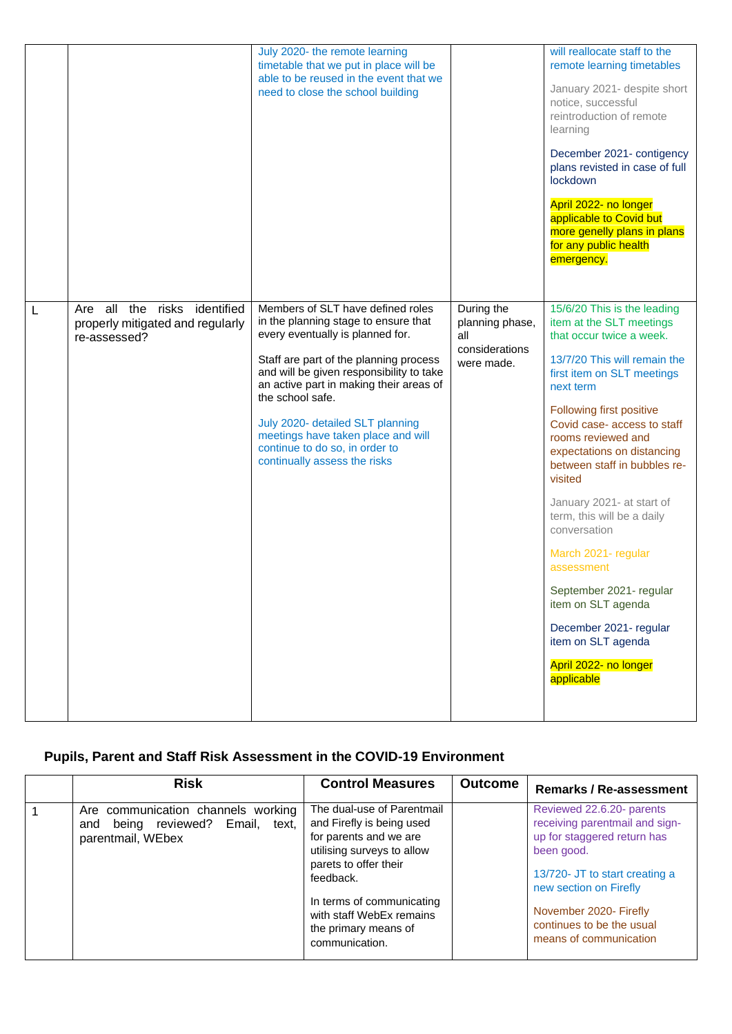|   |                                                                                     | July 2020- the remote learning<br>timetable that we put in place will be<br>able to be reused in the event that we<br>need to close the school building                                                                                                                                                                                                                                                        |                                                                      | will reallocate staff to the<br>remote learning timetables<br>January 2021- despite short<br>notice, successful<br>reintroduction of remote<br>learning<br>December 2021- contigency<br>plans revisted in case of full<br>lockdown<br>April 2022- no longer<br>applicable to Covid but<br>more genelly plans in plans<br>for any public health<br>emergency.                                                                                                                                                                                                                    |
|---|-------------------------------------------------------------------------------------|----------------------------------------------------------------------------------------------------------------------------------------------------------------------------------------------------------------------------------------------------------------------------------------------------------------------------------------------------------------------------------------------------------------|----------------------------------------------------------------------|---------------------------------------------------------------------------------------------------------------------------------------------------------------------------------------------------------------------------------------------------------------------------------------------------------------------------------------------------------------------------------------------------------------------------------------------------------------------------------------------------------------------------------------------------------------------------------|
| L | Are all the risks<br>identified<br>properly mitigated and regularly<br>re-assessed? | Members of SLT have defined roles<br>in the planning stage to ensure that<br>every eventually is planned for.<br>Staff are part of the planning process<br>and will be given responsibility to take<br>an active part in making their areas of<br>the school safe.<br>July 2020- detailed SLT planning<br>meetings have taken place and will<br>continue to do so, in order to<br>continually assess the risks | During the<br>planning phase,<br>all<br>considerations<br>were made. | 15/6/20 This is the leading<br>item at the SLT meetings<br>that occur twice a week.<br>13/7/20 This will remain the<br>first item on SLT meetings<br>next term<br>Following first positive<br>Covid case-access to staff<br>rooms reviewed and<br>expectations on distancing<br>between staff in bubbles re-<br>visited<br>January 2021- at start of<br>term, this will be a daily<br>conversation<br>March 2021- regular<br>assessment<br>September 2021- regular<br>item on SLT agenda<br>December 2021- regular<br>item on SLT agenda<br>April 2022- no longer<br>applicable |

# **Pupils, Parent and Staff Risk Assessment in the COVID-19 Environment**

|   | <b>Risk</b>                                                                                    | <b>Control Measures</b>                                                                                                                               | <b>Outcome</b>                                                                | Remarks / Re-assessment                                                                                                                                              |
|---|------------------------------------------------------------------------------------------------|-------------------------------------------------------------------------------------------------------------------------------------------------------|-------------------------------------------------------------------------------|----------------------------------------------------------------------------------------------------------------------------------------------------------------------|
| 1 | Are communication channels working<br>being reviewed? Email, text,<br>and<br>parentmail, WEbex | The dual-use of Parentmail<br>and Firefly is being used<br>for parents and we are<br>utilising surveys to allow<br>parets to offer their<br>feedback. |                                                                               | Reviewed 22.6.20- parents<br>receiving parentmail and sign-<br>up for staggered return has<br>been good.<br>13/720- JT to start creating a<br>new section on Firefly |
|   |                                                                                                | In terms of communicating<br>with staff WebEx remains<br>the primary means of<br>communication.                                                       | November 2020- Firefly<br>continues to be the usual<br>means of communication |                                                                                                                                                                      |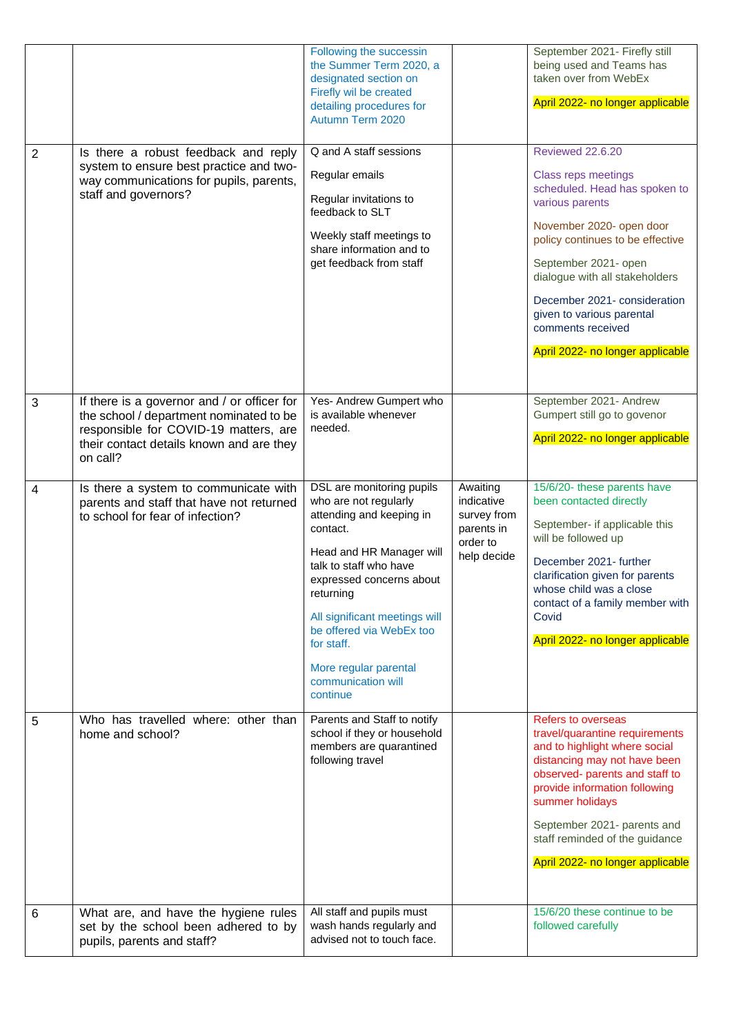| $\overline{2}$ | Is there a robust feedback and reply<br>system to ensure best practice and two-                                                                                                         | Following the successin<br>the Summer Term 2020, a<br>designated section on<br>Firefly wil be created<br>detailing procedures for<br>Autumn Term 2020<br>Q and A staff sessions<br>Regular emails                                                                                                                               |                                                                                | September 2021- Firefly still<br>being used and Teams has<br>taken over from WebEx<br>April 2022- no longer applicable<br><b>Reviewed 22.6.20</b><br>Class reps meetings                                                                                                                                                |
|----------------|-----------------------------------------------------------------------------------------------------------------------------------------------------------------------------------------|---------------------------------------------------------------------------------------------------------------------------------------------------------------------------------------------------------------------------------------------------------------------------------------------------------------------------------|--------------------------------------------------------------------------------|-------------------------------------------------------------------------------------------------------------------------------------------------------------------------------------------------------------------------------------------------------------------------------------------------------------------------|
|                | way communications for pupils, parents,<br>staff and governors?                                                                                                                         | Regular invitations to<br>feedback to SLT<br>Weekly staff meetings to<br>share information and to<br>get feedback from staff                                                                                                                                                                                                    |                                                                                | scheduled. Head has spoken to<br>various parents<br>November 2020- open door<br>policy continues to be effective<br>September 2021- open<br>dialogue with all stakeholders<br>December 2021- consideration<br>given to various parental<br>comments received<br>April 2022- no longer applicable                        |
| 3              | If there is a governor and / or officer for<br>the school / department nominated to be<br>responsible for COVID-19 matters, are<br>their contact details known and are they<br>on call? | Yes- Andrew Gumpert who<br>is available whenever<br>needed.                                                                                                                                                                                                                                                                     |                                                                                | September 2021- Andrew<br>Gumpert still go to govenor<br>April 2022- no longer applicable                                                                                                                                                                                                                               |
| 4              | Is there a system to communicate with<br>parents and staff that have not returned<br>to school for fear of infection?                                                                   | DSL are monitoring pupils<br>who are not regularly<br>attending and keeping in<br>contact.<br>Head and HR Manager will<br>talk to staff who have<br>expressed concerns about<br>returning<br>All significant meetings will<br>be offered via WebEx too<br>for staff.<br>More regular parental<br>communication will<br>continue | Awaiting<br>indicative<br>survey from<br>parents in<br>order to<br>help decide | 15/6/20- these parents have<br>been contacted directly<br>September- if applicable this<br>will be followed up<br>December 2021- further<br>clarification given for parents<br>whose child was a close<br>contact of a family member with<br>Covid<br>April 2022- no longer applicable                                  |
| 5              | Who has travelled where: other than<br>home and school?                                                                                                                                 | Parents and Staff to notify<br>school if they or household<br>members are quarantined<br>following travel                                                                                                                                                                                                                       |                                                                                | <b>Refers to overseas</b><br>travel/quarantine requirements<br>and to highlight where social<br>distancing may not have been<br>observed- parents and staff to<br>provide information following<br>summer holidays<br>September 2021- parents and<br>staff reminded of the guidance<br>April 2022- no longer applicable |
| 6              | What are, and have the hygiene rules<br>set by the school been adhered to by<br>pupils, parents and staff?                                                                              | All staff and pupils must<br>wash hands regularly and<br>advised not to touch face.                                                                                                                                                                                                                                             |                                                                                | 15/6/20 these continue to be<br>followed carefully                                                                                                                                                                                                                                                                      |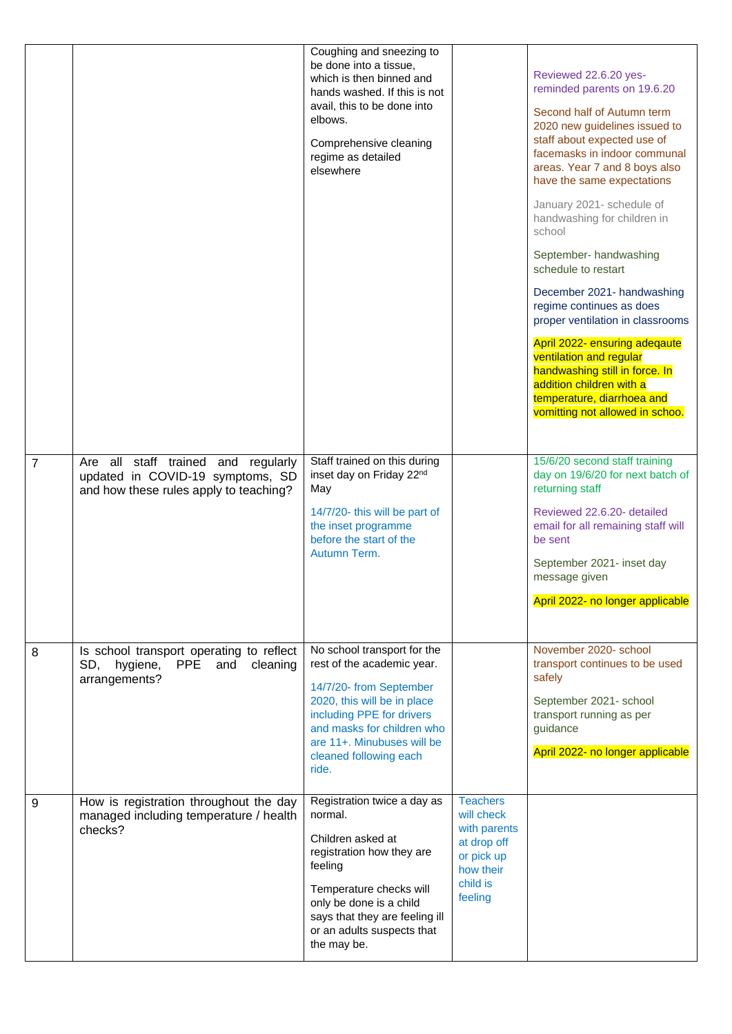|                |                                                                                                                   | Coughing and sneezing to<br>be done into a tissue,<br>which is then binned and<br>hands washed. If this is not<br>avail, this to be done into<br>elbows.<br>Comprehensive cleaning<br>regime as detailed<br>elsewhere                           |                                                                                                                | Reviewed 22.6.20 yes-<br>reminded parents on 19.6.20<br>Second half of Autumn term<br>2020 new guidelines issued to<br>staff about expected use of<br>facemasks in indoor communal<br>areas. Year 7 and 8 boys also<br>have the same expectations<br>January 2021- schedule of<br>handwashing for children in<br>school<br>September- handwashing<br>schedule to restart<br>December 2021- handwashing<br>regime continues as does<br>proper ventilation in classrooms<br>April 2022- ensuring adeqaute<br>ventilation and regular<br>handwashing still in force. In<br>addition children with a<br>temperature, diarrhoea and<br>vomitting not allowed in schoo. |
|----------------|-------------------------------------------------------------------------------------------------------------------|-------------------------------------------------------------------------------------------------------------------------------------------------------------------------------------------------------------------------------------------------|----------------------------------------------------------------------------------------------------------------|-------------------------------------------------------------------------------------------------------------------------------------------------------------------------------------------------------------------------------------------------------------------------------------------------------------------------------------------------------------------------------------------------------------------------------------------------------------------------------------------------------------------------------------------------------------------------------------------------------------------------------------------------------------------|
| $\overline{7}$ | Are all staff trained and regularly<br>updated in COVID-19 symptoms, SD<br>and how these rules apply to teaching? | Staff trained on this during<br>inset day on Friday 22nd<br>May<br>14/7/20- this will be part of<br>the inset programme<br>before the start of the<br>Autumn Term.                                                                              |                                                                                                                | 15/6/20 second staff training<br>day on 19/6/20 for next batch of<br>returning staff<br>Reviewed 22.6.20- detailed<br>email for all remaining staff will<br>be sent<br>September 2021- inset day<br>message given<br>April 2022- no longer applicable                                                                                                                                                                                                                                                                                                                                                                                                             |
| 8              | Is school transport operating to reflect<br>SD, hygiene,<br>PPE<br>and<br>cleaning<br>arrangements?               | No school transport for the<br>rest of the academic year.<br>14/7/20- from September<br>2020, this will be in place<br>including PPE for drivers<br>and masks for children who<br>are 11+. Minubuses will be<br>cleaned following each<br>ride. |                                                                                                                | November 2020- school<br>transport continues to be used<br>safely<br>September 2021- school<br>transport running as per<br>guidance<br>April 2022- no longer applicable                                                                                                                                                                                                                                                                                                                                                                                                                                                                                           |
| 9              | How is registration throughout the day<br>managed including temperature / health<br>checks?                       | Registration twice a day as<br>normal.<br>Children asked at<br>registration how they are<br>feeling<br>Temperature checks will<br>only be done is a child<br>says that they are feeling ill<br>or an adults suspects that<br>the may be.        | <b>Teachers</b><br>will check<br>with parents<br>at drop off<br>or pick up<br>how their<br>child is<br>feeling |                                                                                                                                                                                                                                                                                                                                                                                                                                                                                                                                                                                                                                                                   |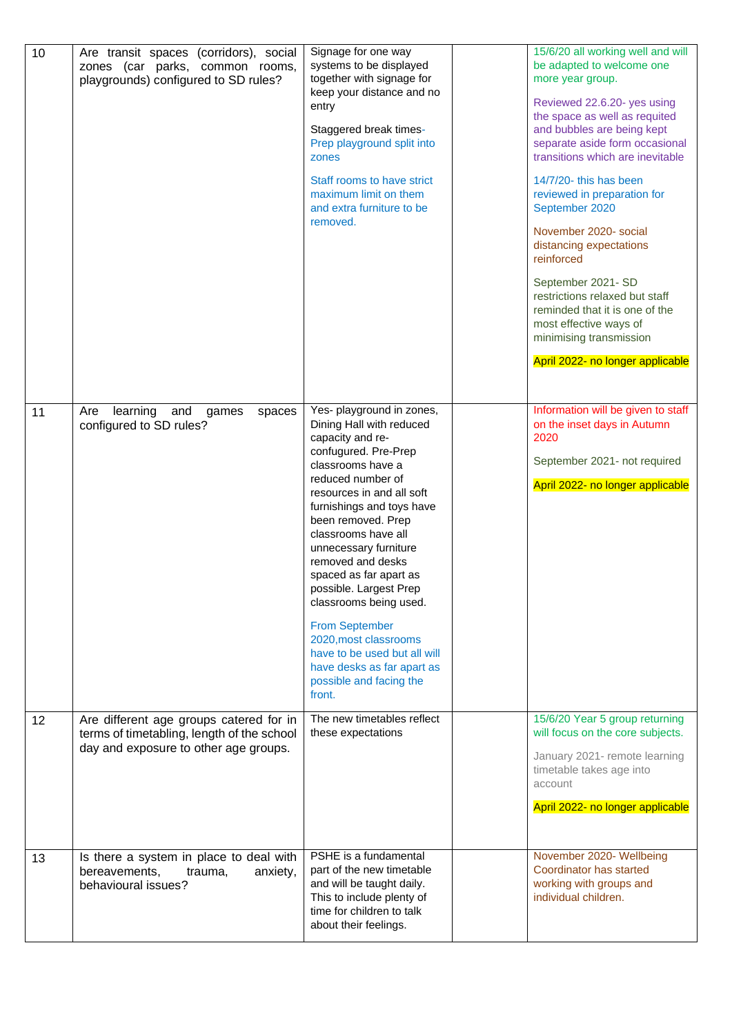| 10 | Are transit spaces (corridors), social<br>zones (car parks, common rooms,<br>playgrounds) configured to SD rules?              | Signage for one way<br>systems to be displayed<br>together with signage for<br>keep your distance and no<br>entry<br>Staggered break times-<br>Prep playground split into<br>zones<br>Staff rooms to have strict<br>maximum limit on them<br>and extra furniture to be<br>removed.                                                                                                                                                                                                                                                  | 15/6/20 all working well and will<br>be adapted to welcome one<br>more year group.<br>Reviewed 22.6.20- yes using<br>the space as well as requited<br>and bubbles are being kept<br>separate aside form occasional<br>transitions which are inevitable<br>14/7/20- this has been<br>reviewed in preparation for<br>September 2020<br>November 2020- social<br>distancing expectations<br>reinforced<br>September 2021-SD<br>restrictions relaxed but staff<br>reminded that it is one of the<br>most effective ways of<br>minimising transmission<br>April 2022- no longer applicable |
|----|--------------------------------------------------------------------------------------------------------------------------------|-------------------------------------------------------------------------------------------------------------------------------------------------------------------------------------------------------------------------------------------------------------------------------------------------------------------------------------------------------------------------------------------------------------------------------------------------------------------------------------------------------------------------------------|---------------------------------------------------------------------------------------------------------------------------------------------------------------------------------------------------------------------------------------------------------------------------------------------------------------------------------------------------------------------------------------------------------------------------------------------------------------------------------------------------------------------------------------------------------------------------------------|
| 11 | learning<br>and<br>Are<br>games<br>spaces<br>configured to SD rules?                                                           | Yes- playground in zones,<br>Dining Hall with reduced<br>capacity and re-<br>confugured. Pre-Prep<br>classrooms have a<br>reduced number of<br>resources in and all soft<br>furnishings and toys have<br>been removed. Prep<br>classrooms have all<br>unnecessary furniture<br>removed and desks<br>spaced as far apart as<br>possible. Largest Prep<br>classrooms being used.<br><b>From September</b><br>2020, most classrooms<br>have to be used but all will<br>have desks as far apart as<br>possible and facing the<br>front. | Information will be given to staff<br>on the inset days in Autumn<br>2020<br>September 2021- not required<br>April 2022- no longer applicable                                                                                                                                                                                                                                                                                                                                                                                                                                         |
| 12 | Are different age groups catered for in<br>terms of timetabling, length of the school<br>day and exposure to other age groups. | The new timetables reflect<br>these expectations                                                                                                                                                                                                                                                                                                                                                                                                                                                                                    | 15/6/20 Year 5 group returning<br>will focus on the core subjects.<br>January 2021- remote learning<br>timetable takes age into<br>account<br>April 2022- no longer applicable                                                                                                                                                                                                                                                                                                                                                                                                        |
| 13 | Is there a system in place to deal with<br>bereavements,<br>trauma,<br>anxiety,<br>behavioural issues?                         | PSHE is a fundamental<br>part of the new timetable<br>and will be taught daily.<br>This to include plenty of<br>time for children to talk<br>about their feelings.                                                                                                                                                                                                                                                                                                                                                                  | November 2020- Wellbeing<br>Coordinator has started<br>working with groups and<br>individual children.                                                                                                                                                                                                                                                                                                                                                                                                                                                                                |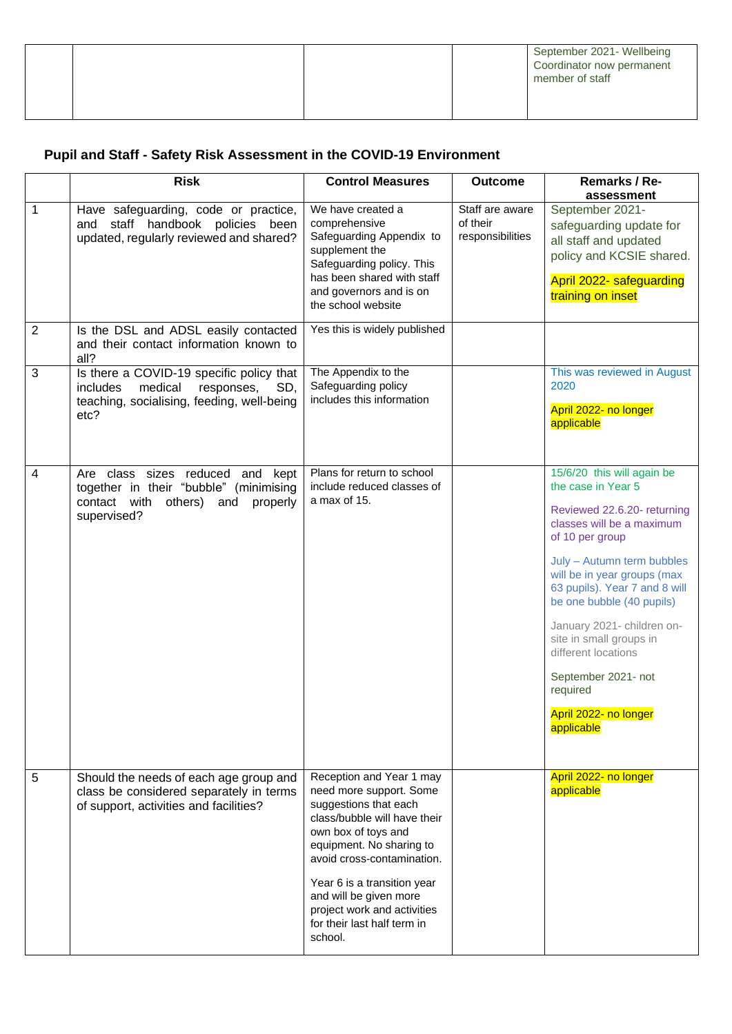|  |  | September 2021- Wellbeing<br>Coordinator now permanent<br>member of staff |
|--|--|---------------------------------------------------------------------------|
|  |  |                                                                           |

# **Pupil and Staff - Safety Risk Assessment in the COVID-19 Environment**

|                | <b>Risk</b>                                                                                                                                | <b>Control Measures</b>                                                                                                                                                                                                                                                                                                         | <b>Outcome</b>                                  | Remarks / Re-<br>assessment                                                                                                                                                                                                                                                                                                                                                                                          |
|----------------|--------------------------------------------------------------------------------------------------------------------------------------------|---------------------------------------------------------------------------------------------------------------------------------------------------------------------------------------------------------------------------------------------------------------------------------------------------------------------------------|-------------------------------------------------|----------------------------------------------------------------------------------------------------------------------------------------------------------------------------------------------------------------------------------------------------------------------------------------------------------------------------------------------------------------------------------------------------------------------|
| 1              | Have safeguarding, code or practice,<br>and staff handbook policies been<br>updated, regularly reviewed and shared?                        | We have created a<br>comprehensive<br>Safeguarding Appendix to<br>supplement the<br>Safeguarding policy. This<br>has been shared with staff<br>and governors and is on<br>the school website                                                                                                                                    | Staff are aware<br>of their<br>responsibilities | September 2021-<br>safeguarding update for<br>all staff and updated<br>policy and KCSIE shared.<br>April 2022- safeguarding<br>training on inset                                                                                                                                                                                                                                                                     |
| $\overline{2}$ | Is the DSL and ADSL easily contacted<br>and their contact information known to<br>all?                                                     | Yes this is widely published                                                                                                                                                                                                                                                                                                    |                                                 |                                                                                                                                                                                                                                                                                                                                                                                                                      |
| $\mathbf{3}$   | Is there a COVID-19 specific policy that<br>medical<br>includes<br>responses,<br>SD,<br>teaching, socialising, feeding, well-being<br>etc? | The Appendix to the<br>Safeguarding policy<br>includes this information                                                                                                                                                                                                                                                         |                                                 | This was reviewed in August<br>2020<br>April 2022- no longer<br>applicable                                                                                                                                                                                                                                                                                                                                           |
| $\overline{4}$ | Are class sizes reduced and kept<br>together in their "bubble" (minimising<br>contact with others) and<br>properly<br>supervised?          | Plans for return to school<br>include reduced classes of<br>a max of 15.                                                                                                                                                                                                                                                        |                                                 | 15/6/20 this will again be<br>the case in Year 5<br>Reviewed 22.6.20- returning<br>classes will be a maximum<br>of 10 per group<br>July - Autumn term bubbles<br>will be in year groups (max<br>63 pupils). Year 7 and 8 will<br>be one bubble (40 pupils)<br>January 2021- children on-<br>site in small groups in<br>different locations<br>September 2021- not<br>required<br>April 2022- no longer<br>applicable |
| 5              | Should the needs of each age group and<br>class be considered separately in terms<br>of support, activities and facilities?                | Reception and Year 1 may<br>need more support. Some<br>suggestions that each<br>class/bubble will have their<br>own box of toys and<br>equipment. No sharing to<br>avoid cross-contamination.<br>Year 6 is a transition year<br>and will be given more<br>project work and activities<br>for their last half term in<br>school. |                                                 | April 2022- no longer<br>applicable                                                                                                                                                                                                                                                                                                                                                                                  |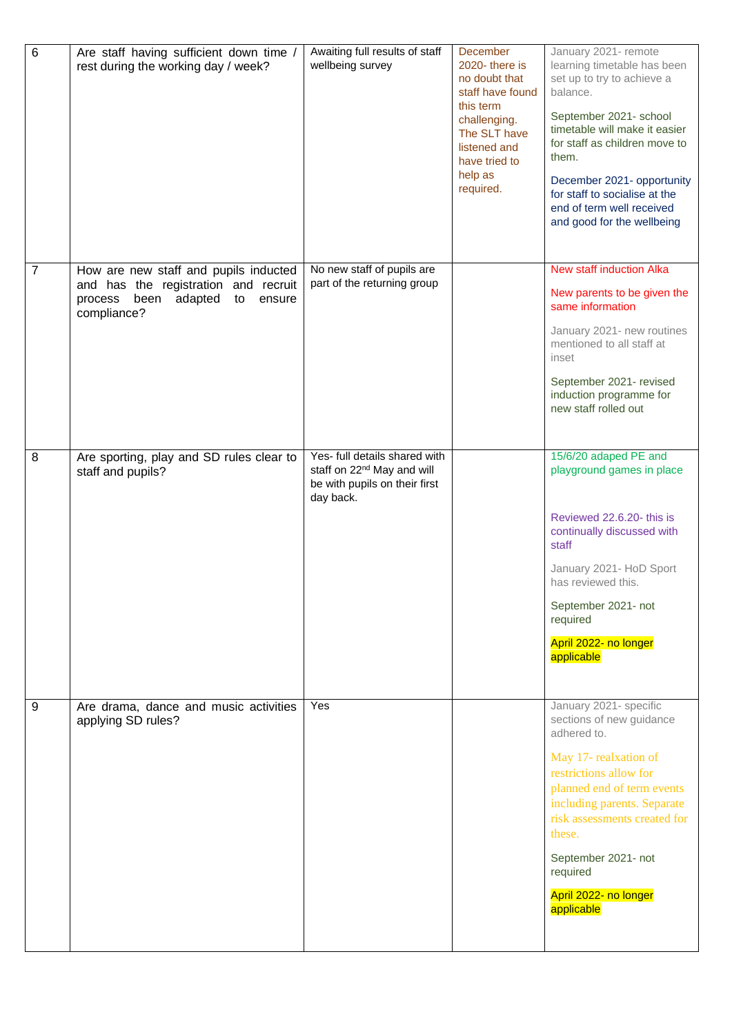| $\,6$          | Are staff having sufficient down time /<br>rest during the working day / week?                                                          | Awaiting full results of staff<br>wellbeing survey                                                                    | December<br>2020-there is<br>no doubt that<br>staff have found<br>this term<br>challenging.<br>The SLT have<br>listened and<br>have tried to<br>help as<br>required. | January 2021- remote<br>learning timetable has been<br>set up to try to achieve a<br>balance.<br>September 2021- school<br>timetable will make it easier<br>for staff as children move to<br>them.<br>December 2021- opportunity<br>for staff to socialise at the<br>end of term well received<br>and good for the wellbeing |
|----------------|-----------------------------------------------------------------------------------------------------------------------------------------|-----------------------------------------------------------------------------------------------------------------------|----------------------------------------------------------------------------------------------------------------------------------------------------------------------|------------------------------------------------------------------------------------------------------------------------------------------------------------------------------------------------------------------------------------------------------------------------------------------------------------------------------|
| $\overline{7}$ | How are new staff and pupils inducted<br>and has the registration and recruit<br>been<br>adapted to<br>process<br>ensure<br>compliance? | No new staff of pupils are<br>part of the returning group                                                             |                                                                                                                                                                      | <b>New staff induction Alka</b><br>New parents to be given the<br>same information<br>January 2021- new routines<br>mentioned to all staff at<br>inset<br>September 2021- revised<br>induction programme for<br>new staff rolled out                                                                                         |
| 8              | Are sporting, play and SD rules clear to<br>staff and pupils?                                                                           | Yes- full details shared with<br>staff on 22 <sup>nd</sup> May and will<br>be with pupils on their first<br>day back. |                                                                                                                                                                      | 15/6/20 adaped PE and<br>playground games in place<br>Reviewed 22.6.20- this is<br>continually discussed with<br>staff<br>January 2021- HoD Sport<br>has reviewed this.<br>September 2021- not<br>required<br>April 2022- no longer<br>applicable                                                                            |
| 9              | Are drama, dance and music activities<br>applying SD rules?                                                                             | Yes                                                                                                                   |                                                                                                                                                                      | January 2021- specific<br>sections of new guidance<br>adhered to.<br>May 17- realxation of<br>restrictions allow for<br>planned end of term events<br>including parents. Separate<br>risk assessments created for<br>these.<br>September 2021- not<br>required<br>April 2022- no longer<br>applicable                        |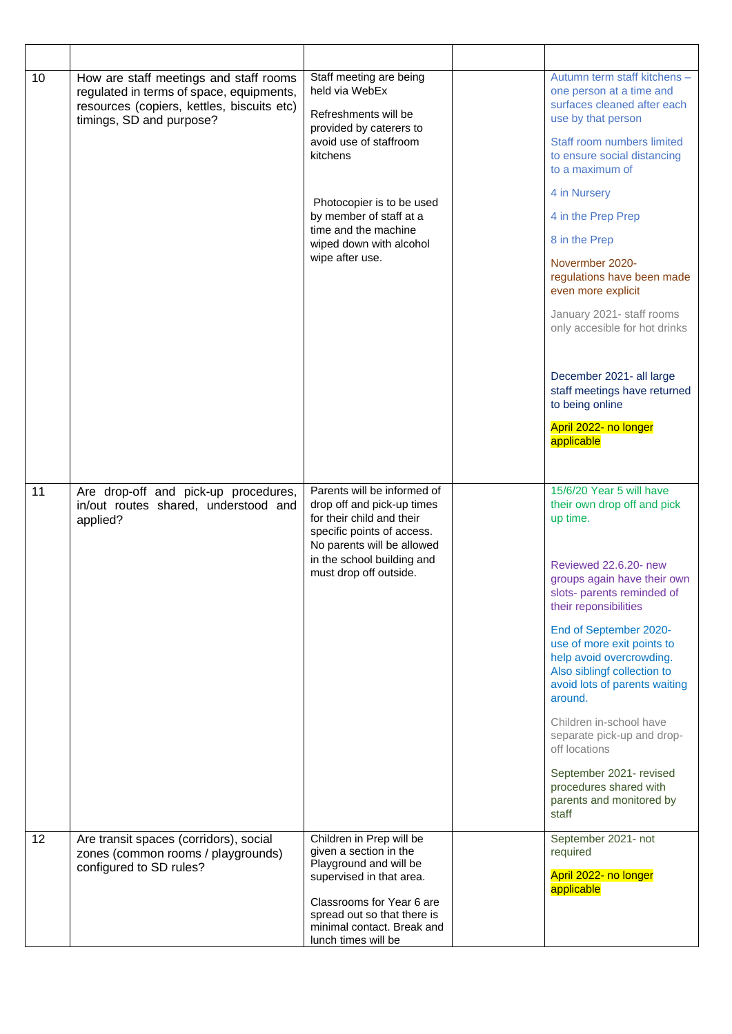| 10 | How are staff meetings and staff rooms<br>regulated in terms of space, equipments,<br>resources (copiers, kettles, biscuits etc)<br>timings, SD and purpose? | Staff meeting are being<br>held via WebEx<br>Refreshments will be<br>provided by caterers to<br>avoid use of staffroom<br>kitchens<br>Photocopier is to be used<br>by member of staff at a<br>time and the machine<br>wiped down with alcohol<br>wipe after use. | Autumn term staff kitchens -<br>one person at a time and<br>surfaces cleaned after each<br>use by that person<br>Staff room numbers limited<br>to ensure social distancing<br>to a maximum of<br>4 in Nursery<br>4 in the Prep Prep<br>8 in the Prep<br>Novermber 2020-<br>regulations have been made<br>even more explicit<br>January 2021- staff rooms<br>only accesible for hot drinks<br>December 2021- all large<br>staff meetings have returned<br>to being online<br>April 2022- no longer<br>applicable       |
|----|--------------------------------------------------------------------------------------------------------------------------------------------------------------|------------------------------------------------------------------------------------------------------------------------------------------------------------------------------------------------------------------------------------------------------------------|-----------------------------------------------------------------------------------------------------------------------------------------------------------------------------------------------------------------------------------------------------------------------------------------------------------------------------------------------------------------------------------------------------------------------------------------------------------------------------------------------------------------------|
| 11 | Are drop-off and pick-up procedures,<br>in/out routes shared, understood and<br>applied?                                                                     | Parents will be informed of<br>drop off and pick-up times<br>for their child and their<br>specific points of access.<br>No parents will be allowed<br>in the school building and<br>must drop off outside.                                                       | 15/6/20 Year 5 will have<br>their own drop off and pick<br>up time.<br>Reviewed 22.6.20- new<br>groups again have their own<br>slots- parents reminded of<br>their reponsibilities<br>End of September 2020-<br>use of more exit points to<br>help avoid overcrowding.<br>Also siblingf collection to<br>avoid lots of parents waiting<br>around.<br>Children in-school have<br>separate pick-up and drop-<br>off locations<br>September 2021- revised<br>procedures shared with<br>parents and monitored by<br>staff |
| 12 | Are transit spaces (corridors), social<br>zones (common rooms / playgrounds)<br>configured to SD rules?                                                      | Children in Prep will be<br>given a section in the<br>Playground and will be<br>supervised in that area.<br>Classrooms for Year 6 are<br>spread out so that there is<br>minimal contact. Break and<br>lunch times will be                                        | September 2021- not<br>required<br>April 2022- no longer<br>applicable                                                                                                                                                                                                                                                                                                                                                                                                                                                |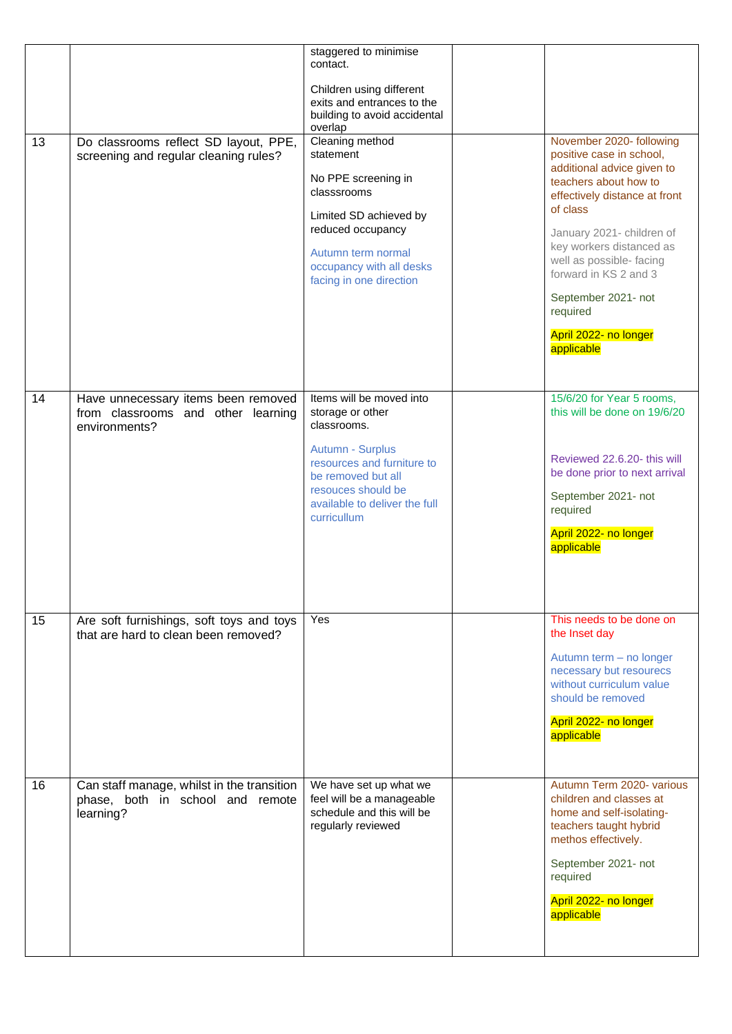| 13 | Do classrooms reflect SD layout, PPE,<br>screening and regular cleaning rules?              | staggered to minimise<br>contact.<br>Children using different<br>exits and entrances to the<br>building to avoid accidental<br>overlap<br>Cleaning method<br>statement<br>No PPE screening in<br>classsrooms<br>Limited SD achieved by<br>reduced occupancy<br>Autumn term normal<br>occupancy with all desks<br>facing in one direction | November 2020- following<br>positive case in school,<br>additional advice given to<br>teachers about how to<br>effectively distance at front<br>of class<br>January 2021- children of<br>key workers distanced as<br>well as possible- facing<br>forward in KS 2 and 3<br>September 2021- not<br>required<br>April 2022- no longer<br>applicable |
|----|---------------------------------------------------------------------------------------------|------------------------------------------------------------------------------------------------------------------------------------------------------------------------------------------------------------------------------------------------------------------------------------------------------------------------------------------|--------------------------------------------------------------------------------------------------------------------------------------------------------------------------------------------------------------------------------------------------------------------------------------------------------------------------------------------------|
| 14 | Have unnecessary items been removed<br>from classrooms and other learning<br>environments?  | Items will be moved into<br>storage or other<br>classrooms.<br>Autumn - Surplus<br>resources and furniture to<br>be removed but all<br>resouces should be<br>available to deliver the full<br>curricullum                                                                                                                                | 15/6/20 for Year 5 rooms,<br>this will be done on 19/6/20<br>Reviewed 22.6.20- this will<br>be done prior to next arrival<br>September 2021- not<br>required<br>April 2022- no longer<br>applicable                                                                                                                                              |
| 15 | Are soft furnishings, soft toys and toys<br>that are hard to clean been removed?            | Yes                                                                                                                                                                                                                                                                                                                                      | This needs to be done on<br>the Inset day<br>Autumn term - no longer<br>necessary but resourecs<br>without curriculum value<br>should be removed<br>April 2022- no longer<br>applicable                                                                                                                                                          |
| 16 | Can staff manage, whilst in the transition<br>phase, both in school and remote<br>learning? | We have set up what we<br>feel will be a manageable<br>schedule and this will be<br>regularly reviewed                                                                                                                                                                                                                                   | Autumn Term 2020- various<br>children and classes at<br>home and self-isolating-<br>teachers taught hybrid<br>methos effectively.<br>September 2021- not<br>required<br>April 2022- no longer<br>applicable                                                                                                                                      |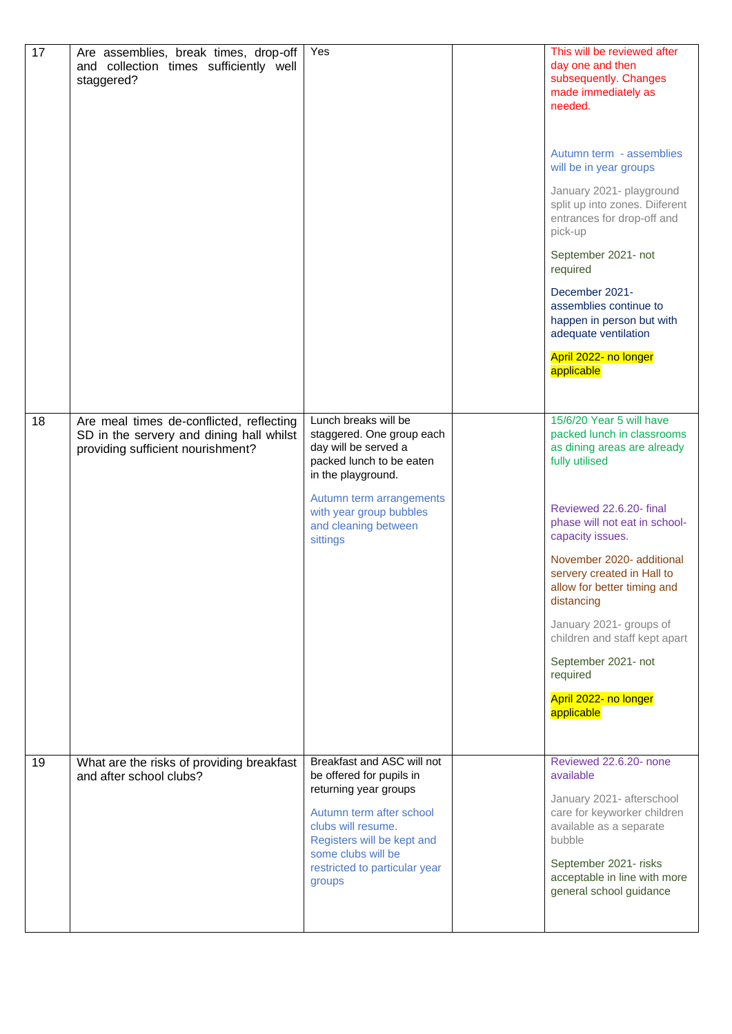| 17 | Are assemblies, break times, drop-off<br>and collection times sufficiently well<br>staggered?                             | Yes                                                                                                                                                                                                                              | This will be reviewed after<br>day one and then<br>subsequently. Changes<br>made immediately as<br>needed.<br>Autumn term - assemblies<br>will be in year groups<br>January 2021- playground<br>split up into zones. Diiferent<br>entrances for drop-off and<br>pick-up<br>September 2021- not<br>required<br>December 2021-<br>assemblies continue to<br>happen in person but with<br>adequate ventilation<br>April 2022- no longer<br>applicable |
|----|---------------------------------------------------------------------------------------------------------------------------|----------------------------------------------------------------------------------------------------------------------------------------------------------------------------------------------------------------------------------|----------------------------------------------------------------------------------------------------------------------------------------------------------------------------------------------------------------------------------------------------------------------------------------------------------------------------------------------------------------------------------------------------------------------------------------------------|
| 18 | Are meal times de-conflicted, reflecting<br>SD in the servery and dining hall whilst<br>providing sufficient nourishment? | Lunch breaks will be<br>staggered. One group each<br>day will be served a<br>packed lunch to be eaten<br>in the playground.<br>Autumn term arrangements<br>with year group bubbles<br>and cleaning between<br>sittings           | 15/6/20 Year 5 will have<br>packed lunch in classrooms<br>as dining areas are already<br>fully utilised<br>Reviewed 22.6.20- final<br>phase will not eat in school-<br>capacity issues.<br>November 2020- additional<br>servery created in Hall to<br>allow for better timing and<br>distancing<br>January 2021- groups of<br>children and staff kept apart<br>September 2021- not<br>required<br>April 2022- no longer<br>applicable              |
| 19 | What are the risks of providing breakfast<br>and after school clubs?                                                      | Breakfast and ASC will not<br>be offered for pupils in<br>returning year groups<br>Autumn term after school<br>clubs will resume.<br>Registers will be kept and<br>some clubs will be<br>restricted to particular year<br>groups | Reviewed 22.6.20- none<br>available<br>January 2021- afterschool<br>care for keyworker children<br>available as a separate<br>bubble<br>September 2021- risks<br>acceptable in line with more<br>general school guidance                                                                                                                                                                                                                           |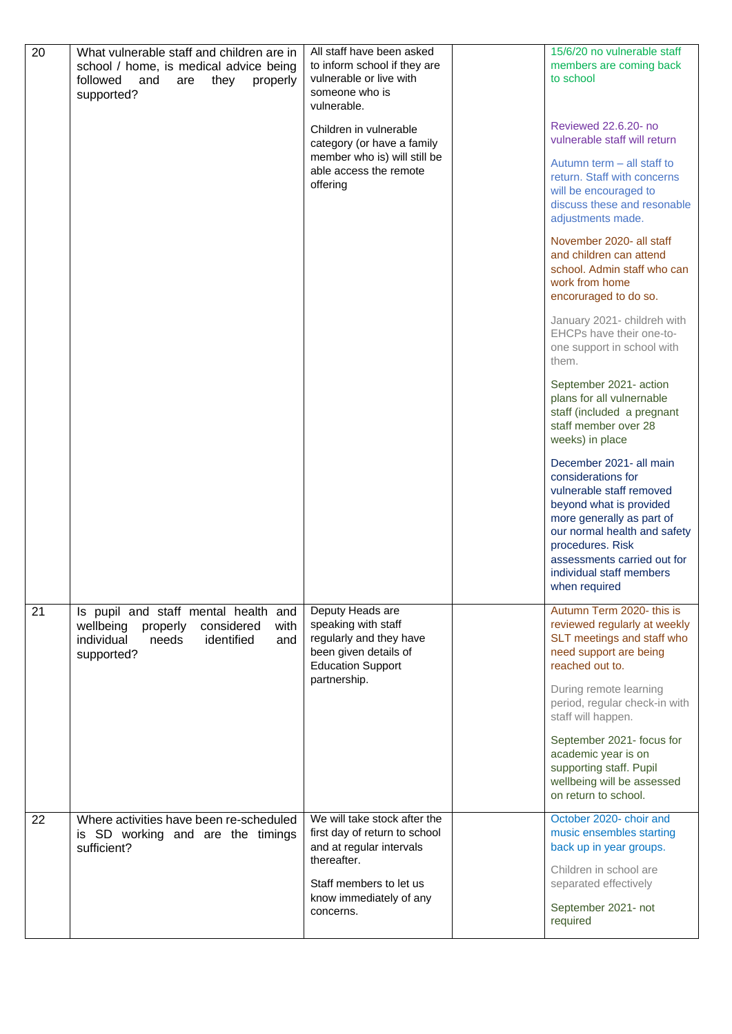| 20 | What vulnerable staff and children are in<br>school / home, is medical advice being<br>followed<br>they<br>properly<br>and<br>are<br>supported? | All staff have been asked<br>to inform school if they are<br>vulnerable or live with<br>someone who is<br>vulnerable.<br>Children in vulnerable | 15/6/20 no vulnerable staff<br>members are coming back<br>to school<br>Reviewed 22.6.20- no                                                                                                                                                                       |
|----|-------------------------------------------------------------------------------------------------------------------------------------------------|-------------------------------------------------------------------------------------------------------------------------------------------------|-------------------------------------------------------------------------------------------------------------------------------------------------------------------------------------------------------------------------------------------------------------------|
|    |                                                                                                                                                 | category (or have a family<br>member who is) will still be<br>able access the remote<br>offering                                                | vulnerable staff will return<br>Autumn term - all staff to<br>return. Staff with concerns<br>will be encouraged to<br>discuss these and resonable<br>adjustments made.                                                                                            |
|    |                                                                                                                                                 |                                                                                                                                                 | November 2020- all staff<br>and children can attend<br>school. Admin staff who can<br>work from home<br>encoruraged to do so.                                                                                                                                     |
|    |                                                                                                                                                 |                                                                                                                                                 | January 2021- childreh with<br>EHCPs have their one-to-<br>one support in school with<br>them.                                                                                                                                                                    |
|    |                                                                                                                                                 |                                                                                                                                                 | September 2021- action<br>plans for all vulnernable<br>staff (included a pregnant<br>staff member over 28<br>weeks) in place                                                                                                                                      |
|    |                                                                                                                                                 |                                                                                                                                                 | December 2021- all main<br>considerations for<br>vulnerable staff removed<br>beyond what is provided<br>more generally as part of<br>our normal health and safety<br>procedures. Risk<br>assessments carried out for<br>individual staff members<br>when required |
| 21 | Is pupil and staff mental health and<br>wellbeing properly<br>considered<br>with<br>individual<br>identified<br>needs<br>and<br>supported?      | Deputy Heads are<br>speaking with staff<br>regularly and they have<br>been given details of<br><b>Education Support</b><br>partnership.         | Autumn Term 2020- this is<br>reviewed regularly at weekly<br>SLT meetings and staff who<br>need support are being<br>reached out to.                                                                                                                              |
|    |                                                                                                                                                 |                                                                                                                                                 | During remote learning<br>period, regular check-in with<br>staff will happen.                                                                                                                                                                                     |
|    |                                                                                                                                                 |                                                                                                                                                 | September 2021- focus for<br>academic year is on<br>supporting staff. Pupil<br>wellbeing will be assessed<br>on return to school.                                                                                                                                 |
| 22 | Where activities have been re-scheduled<br>is SD working and are the timings<br>sufficient?                                                     | We will take stock after the<br>first day of return to school<br>and at regular intervals<br>thereafter.                                        | October 2020- choir and<br>music ensembles starting<br>back up in year groups.                                                                                                                                                                                    |
|    |                                                                                                                                                 | Staff members to let us<br>know immediately of any<br>concerns.                                                                                 | Children in school are<br>separated effectively<br>September 2021- not<br>required                                                                                                                                                                                |
|    |                                                                                                                                                 |                                                                                                                                                 |                                                                                                                                                                                                                                                                   |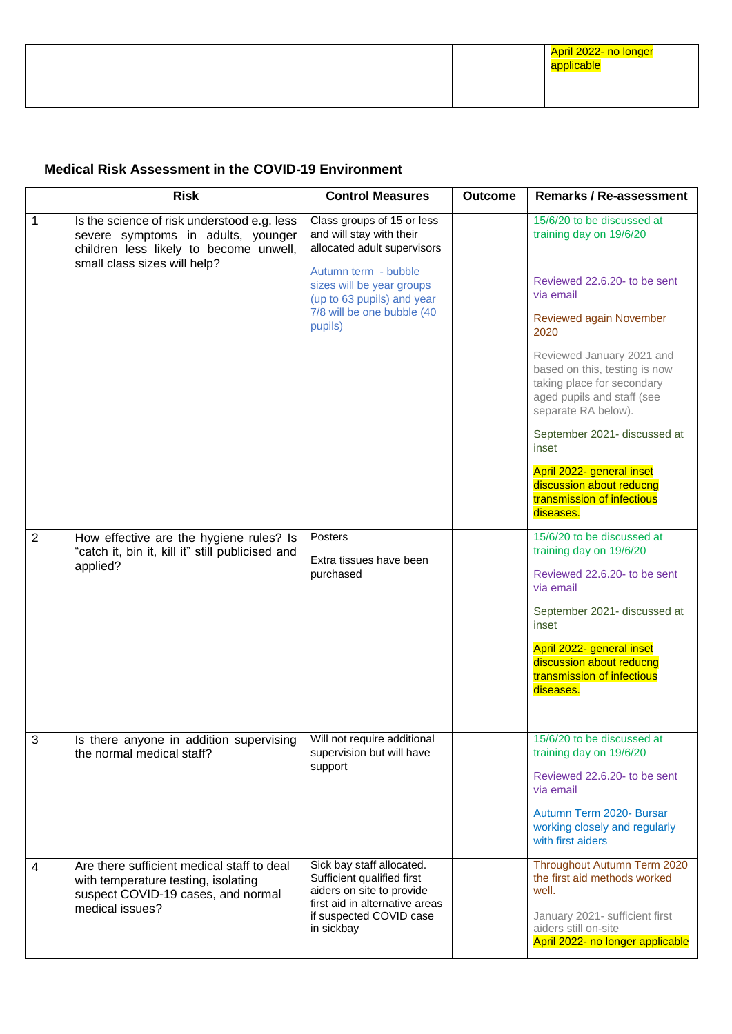|  |  | April 2022- no longer<br><u> 1989 - Johann Stein, marwolaethau a bhann an t-Amhain an t-Amhain an t-Amhain an t-Amhain an t-Amhain an t-Amh</u><br>applicable |
|--|--|---------------------------------------------------------------------------------------------------------------------------------------------------------------|
|  |  |                                                                                                                                                               |

### **Medical Risk Assessment in the COVID-19 Environment**

|                | <b>Risk</b>                                                                                                                                                 | <b>Control Measures</b>                                                               | <b>Outcome</b> | <b>Remarks / Re-assessment</b>                                                                                                                |
|----------------|-------------------------------------------------------------------------------------------------------------------------------------------------------------|---------------------------------------------------------------------------------------|----------------|-----------------------------------------------------------------------------------------------------------------------------------------------|
| 1              | Is the science of risk understood e.g. less<br>severe symptoms in adults, younger<br>children less likely to become unwell,<br>small class sizes will help? | Class groups of 15 or less<br>and will stay with their<br>allocated adult supervisors |                | 15/6/20 to be discussed at<br>training day on 19/6/20                                                                                         |
|                |                                                                                                                                                             | Autumn term - bubble<br>sizes will be year groups<br>(up to 63 pupils) and year       |                | Reviewed 22.6.20- to be sent<br>via email                                                                                                     |
|                |                                                                                                                                                             | 7/8 will be one bubble (40<br>pupils)                                                 |                | Reviewed again November<br>2020                                                                                                               |
|                |                                                                                                                                                             |                                                                                       |                | Reviewed January 2021 and<br>based on this, testing is now<br>taking place for secondary<br>aged pupils and staff (see<br>separate RA below). |
|                |                                                                                                                                                             |                                                                                       |                | September 2021- discussed at<br>inset                                                                                                         |
|                |                                                                                                                                                             |                                                                                       |                | April 2022- general inset<br>discussion about reducng<br>transmission of infectious<br>diseases.                                              |
| $\overline{2}$ | How effective are the hygiene rules? Is<br>"catch it, bin it, kill it" still publicised and                                                                 | Posters                                                                               |                | 15/6/20 to be discussed at<br>training day on 19/6/20                                                                                         |
|                | applied?                                                                                                                                                    | Extra tissues have been<br>purchased                                                  |                | Reviewed 22.6.20- to be sent<br>via email                                                                                                     |
|                |                                                                                                                                                             |                                                                                       |                | September 2021- discussed at<br>inset                                                                                                         |
|                |                                                                                                                                                             |                                                                                       |                | April 2022- general inset<br>discussion about reducng<br>transmission of infectious<br>diseases.                                              |
| 3              | Is there anyone in addition supervising<br>the normal medical staff?                                                                                        | Will not require additional<br>supervision but will have                              |                | 15/6/20 to be discussed at<br>training day on 19/6/20                                                                                         |
|                |                                                                                                                                                             | support                                                                               |                | Reviewed 22.6.20- to be sent<br>via email                                                                                                     |
|                |                                                                                                                                                             |                                                                                       |                | Autumn Term 2020- Bursar<br>working closely and regularly<br>with first aiders                                                                |
| 4              | Are there sufficient medical staff to deal<br>with temperature testing, isolating<br>suspect COVID-19 cases, and normal                                     | Sick bay staff allocated.<br>Sufficient qualified first<br>aiders on site to provide  |                | Throughout Autumn Term 2020<br>the first aid methods worked<br>well.                                                                          |
|                | medical issues?                                                                                                                                             | first aid in alternative areas<br>if suspected COVID case<br>in sickbay               |                | January 2021- sufficient first<br>aiders still on-site<br>April 2022- no longer applicable                                                    |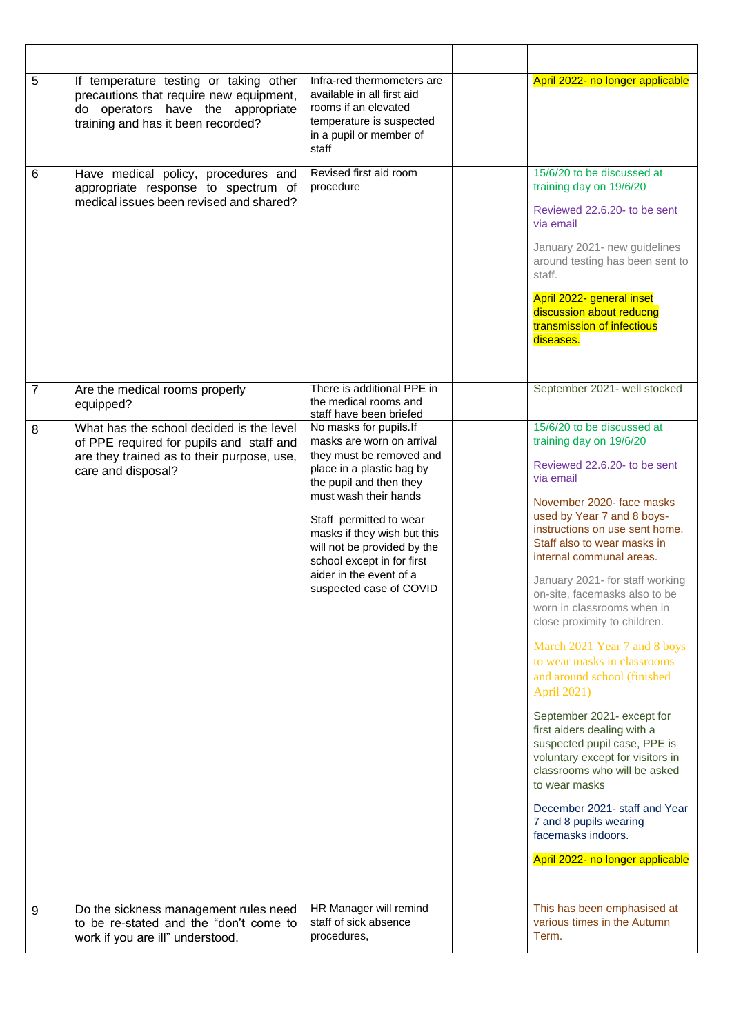| 5              | If temperature testing or taking other<br>precautions that require new equipment,<br>do operators have the appropriate<br>training and has it been recorded? | Infra-red thermometers are<br>available in all first aid<br>rooms if an elevated<br>temperature is suspected<br>in a pupil or member of<br>staff                                                                                                                                                                                              | April 2022- no longer applicable                                                                                                                                                                                                                                                                                                                                                                                                                                                                                                                                                                                                                                                                                                                                                                                 |
|----------------|--------------------------------------------------------------------------------------------------------------------------------------------------------------|-----------------------------------------------------------------------------------------------------------------------------------------------------------------------------------------------------------------------------------------------------------------------------------------------------------------------------------------------|------------------------------------------------------------------------------------------------------------------------------------------------------------------------------------------------------------------------------------------------------------------------------------------------------------------------------------------------------------------------------------------------------------------------------------------------------------------------------------------------------------------------------------------------------------------------------------------------------------------------------------------------------------------------------------------------------------------------------------------------------------------------------------------------------------------|
| 6              | Have medical policy, procedures and<br>appropriate response to spectrum of<br>medical issues been revised and shared?                                        | Revised first aid room<br>procedure                                                                                                                                                                                                                                                                                                           | 15/6/20 to be discussed at<br>training day on 19/6/20<br>Reviewed 22.6.20- to be sent<br>via email<br>January 2021- new guidelines<br>around testing has been sent to<br>staff.<br>April 2022- general inset<br>discussion about reducng<br>transmission of infectious<br>diseases.                                                                                                                                                                                                                                                                                                                                                                                                                                                                                                                              |
| $\overline{7}$ | Are the medical rooms properly<br>equipped?                                                                                                                  | There is additional PPE in<br>the medical rooms and<br>staff have been briefed                                                                                                                                                                                                                                                                | September 2021- well stocked                                                                                                                                                                                                                                                                                                                                                                                                                                                                                                                                                                                                                                                                                                                                                                                     |
| 8              | What has the school decided is the level<br>of PPE required for pupils and staff and<br>are they trained as to their purpose, use,<br>care and disposal?     | No masks for pupils.If<br>masks are worn on arrival<br>they must be removed and<br>place in a plastic bag by<br>the pupil and then they<br>must wash their hands<br>Staff permitted to wear<br>masks if they wish but this<br>will not be provided by the<br>school except in for first<br>aider in the event of a<br>suspected case of COVID | 15/6/20 to be discussed at<br>training day on 19/6/20<br>Reviewed 22.6.20- to be sent<br>via email<br>November 2020- face masks<br>used by Year 7 and 8 boys-<br>instructions on use sent home.<br>Staff also to wear masks in<br>internal communal areas.<br>January 2021- for staff working<br>on-site, facemasks also to be<br>worn in classrooms when in<br>close proximity to children.<br>March 2021 Year 7 and 8 boys<br>to wear masks in classrooms<br>and around school (finished<br>April 2021)<br>September 2021- except for<br>first aiders dealing with a<br>suspected pupil case, PPE is<br>voluntary except for visitors in<br>classrooms who will be asked<br>to wear masks<br>December 2021- staff and Year<br>7 and 8 pupils wearing<br>facemasks indoors.<br>April 2022- no longer applicable |
| 9              | Do the sickness management rules need<br>to be re-stated and the "don't come to<br>work if you are ill" understood.                                          | HR Manager will remind<br>staff of sick absence<br>procedures,                                                                                                                                                                                                                                                                                | This has been emphasised at<br>various times in the Autumn<br>Term.                                                                                                                                                                                                                                                                                                                                                                                                                                                                                                                                                                                                                                                                                                                                              |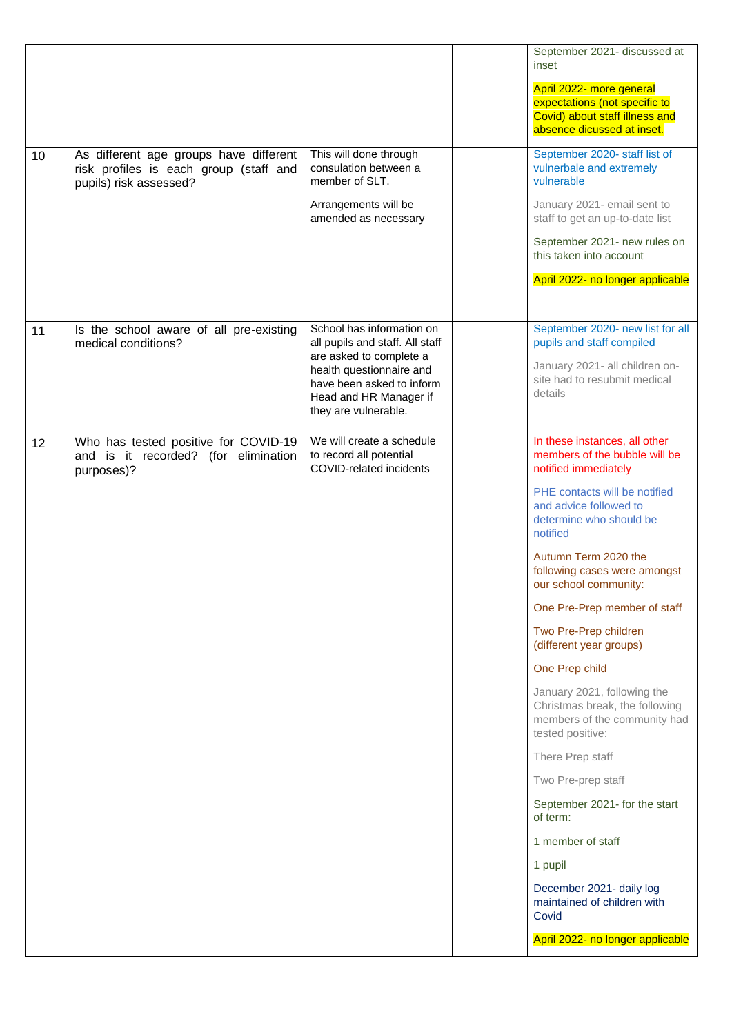|    |                                                                                                            |                                                                                                                                    | September 2021- discussed at<br>inset                                                                                     |
|----|------------------------------------------------------------------------------------------------------------|------------------------------------------------------------------------------------------------------------------------------------|---------------------------------------------------------------------------------------------------------------------------|
|    |                                                                                                            |                                                                                                                                    | April 2022- more general<br>expectations (not specific to<br>Covid) about staff illness and<br>absence dicussed at inset. |
| 10 | As different age groups have different<br>risk profiles is each group (staff and<br>pupils) risk assessed? | This will done through<br>consulation between a<br>member of SLT.                                                                  | September 2020- staff list of<br>vulnerbale and extremely<br>vulnerable                                                   |
|    |                                                                                                            | Arrangements will be<br>amended as necessary                                                                                       | January 2021- email sent to<br>staff to get an up-to-date list                                                            |
|    |                                                                                                            |                                                                                                                                    | September 2021- new rules on<br>this taken into account                                                                   |
|    |                                                                                                            |                                                                                                                                    | April 2022- no longer applicable                                                                                          |
| 11 | Is the school aware of all pre-existing<br>medical conditions?                                             | School has information on<br>all pupils and staff. All staff                                                                       | September 2020- new list for all<br>pupils and staff compiled                                                             |
|    |                                                                                                            | are asked to complete a<br>health questionnaire and<br>have been asked to inform<br>Head and HR Manager if<br>they are vulnerable. | January 2021- all children on-<br>site had to resubmit medical<br>details                                                 |
| 12 | Who has tested positive for COVID-19<br>and is it recorded? (for elimination<br>purposes)?                 | We will create a schedule<br>to record all potential<br><b>COVID-related incidents</b>                                             | In these instances, all other<br>members of the bubble will be<br>notified immediately                                    |
|    |                                                                                                            |                                                                                                                                    | PHE contacts will be notified<br>and advice followed to<br>determine who should be<br>notified                            |
|    |                                                                                                            |                                                                                                                                    | Autumn Term 2020 the<br>following cases were amongst<br>our school community:                                             |
|    |                                                                                                            |                                                                                                                                    | One Pre-Prep member of staff                                                                                              |
|    |                                                                                                            |                                                                                                                                    | Two Pre-Prep children<br>(different year groups)                                                                          |
|    |                                                                                                            |                                                                                                                                    | One Prep child                                                                                                            |
|    |                                                                                                            |                                                                                                                                    | January 2021, following the<br>Christmas break, the following<br>members of the community had<br>tested positive:         |
|    |                                                                                                            |                                                                                                                                    | There Prep staff                                                                                                          |
|    |                                                                                                            |                                                                                                                                    | Two Pre-prep staff                                                                                                        |
|    |                                                                                                            |                                                                                                                                    | September 2021- for the start<br>of term:                                                                                 |
|    |                                                                                                            |                                                                                                                                    | 1 member of staff                                                                                                         |
|    |                                                                                                            |                                                                                                                                    | 1 pupil                                                                                                                   |
|    |                                                                                                            |                                                                                                                                    | December 2021- daily log<br>maintained of children with<br>Covid                                                          |
|    |                                                                                                            |                                                                                                                                    | April 2022- no longer applicable                                                                                          |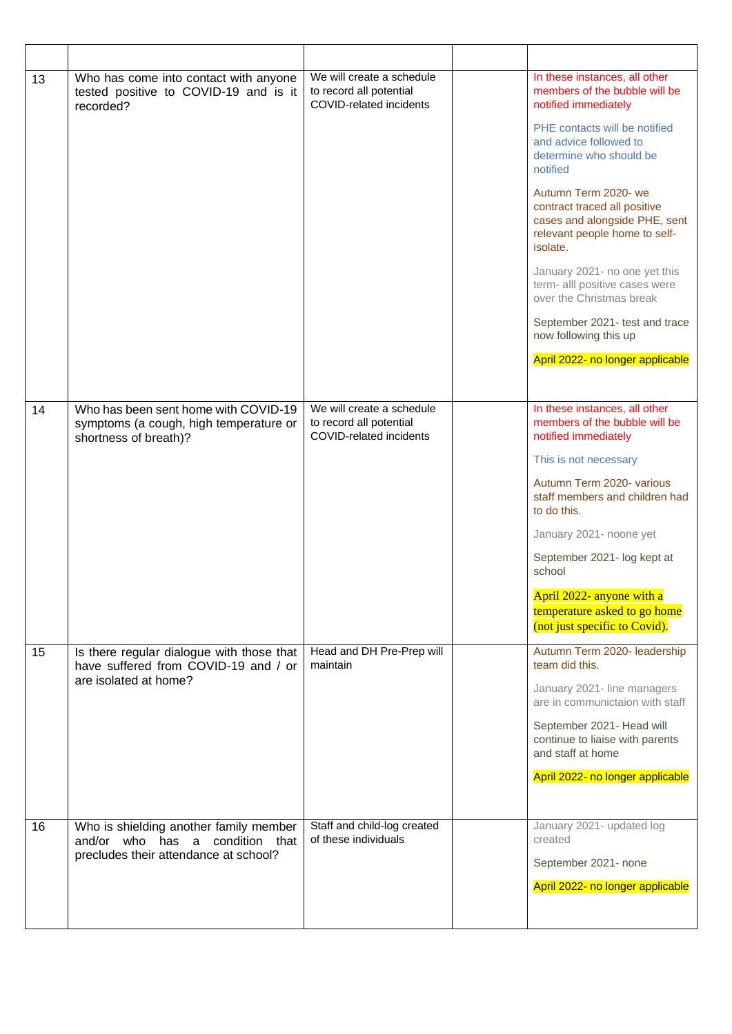| 13 | Who has come into contact with anyone<br>tested positive to COVID-19 and is it<br>recorded?             | We will create a schedule<br>to record all potential<br>COVID-related incidents | In these instances, all other<br>members of the bubble will be<br>notified immediately                                             |
|----|---------------------------------------------------------------------------------------------------------|---------------------------------------------------------------------------------|------------------------------------------------------------------------------------------------------------------------------------|
|    |                                                                                                         |                                                                                 | PHE contacts will be notified<br>and advice followed to<br>determine who should be<br>notified                                     |
|    |                                                                                                         |                                                                                 | Autumn Term 2020- we<br>contract traced all positive<br>cases and alongside PHE, sent<br>relevant people home to self-<br>isolate. |
|    |                                                                                                         |                                                                                 | January 2021- no one yet this<br>term- alll positive cases were<br>over the Christmas break                                        |
|    |                                                                                                         |                                                                                 | September 2021- test and trace<br>now following this up                                                                            |
|    |                                                                                                         |                                                                                 | April 2022- no longer applicable                                                                                                   |
|    |                                                                                                         |                                                                                 |                                                                                                                                    |
| 14 | Who has been sent home with COVID-19<br>symptoms (a cough, high temperature or<br>shortness of breath)? | We will create a schedule<br>to record all potential<br>COVID-related incidents | In these instances, all other<br>members of the bubble will be<br>notified immediately                                             |
|    |                                                                                                         |                                                                                 | This is not necessary                                                                                                              |
|    |                                                                                                         |                                                                                 | Autumn Term 2020- various<br>staff members and children had<br>to do this.                                                         |
|    |                                                                                                         |                                                                                 | January 2021- noone yet                                                                                                            |
|    |                                                                                                         |                                                                                 | September 2021- log kept at<br>school                                                                                              |
|    |                                                                                                         |                                                                                 | April 2022- anyone with a<br>temperature asked to go home<br>(not just specific to Covid).                                         |
| 15 | Is there regular dialogue with those that<br>have suffered from COVID-19 and / or                       | Head and DH Pre-Prep will<br>maintain                                           | Autumn Term 2020- leadership<br>team did this.                                                                                     |
|    | are isolated at home?                                                                                   |                                                                                 | January 2021- line managers<br>are in communictaion with staff                                                                     |
|    |                                                                                                         |                                                                                 | September 2021- Head will<br>continue to liaise with parents<br>and staff at home                                                  |
|    |                                                                                                         |                                                                                 | April 2022- no longer applicable                                                                                                   |
| 16 | Who is shielding another family member<br>and/or who has a condition that                               | Staff and child-log created<br>of these individuals                             | January 2021- updated log<br>created                                                                                               |
|    | precludes their attendance at school?                                                                   |                                                                                 | September 2021- none                                                                                                               |
|    |                                                                                                         |                                                                                 | April 2022- no longer applicable                                                                                                   |
|    |                                                                                                         |                                                                                 |                                                                                                                                    |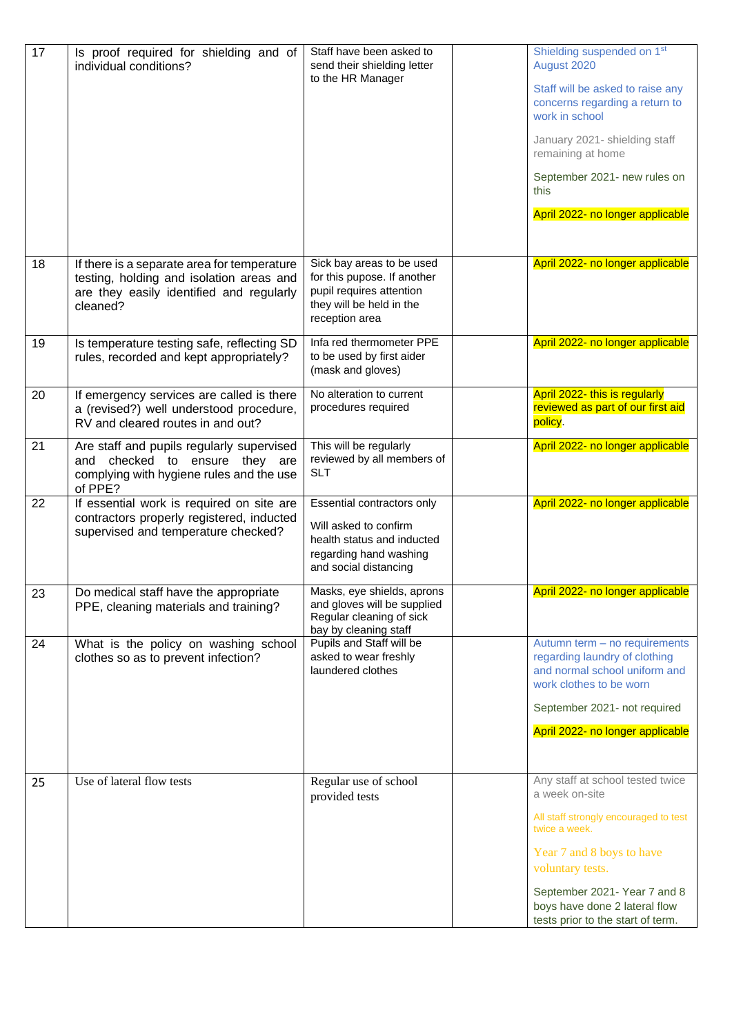| 17 | Is proof required for shielding and of<br>individual conditions?                                                                                | Staff have been asked to<br>send their shielding letter<br>to the HR Manager                                                         | Shielding suspended on 1 <sup>st</sup><br>August 2020<br>Staff will be asked to raise any<br>concerns regarding a return to<br>work in school<br>January 2021- shielding staff<br>remaining at home<br>September 2021- new rules on<br>this<br>April 2022- no longer applicable |
|----|-------------------------------------------------------------------------------------------------------------------------------------------------|--------------------------------------------------------------------------------------------------------------------------------------|---------------------------------------------------------------------------------------------------------------------------------------------------------------------------------------------------------------------------------------------------------------------------------|
| 18 | If there is a separate area for temperature<br>testing, holding and isolation areas and<br>are they easily identified and regularly<br>cleaned? | Sick bay areas to be used<br>for this pupose. If another<br>pupil requires attention<br>they will be held in the<br>reception area   | April 2022- no longer applicable                                                                                                                                                                                                                                                |
| 19 | Is temperature testing safe, reflecting SD<br>rules, recorded and kept appropriately?                                                           | Infa red thermometer PPE<br>to be used by first aider<br>(mask and gloves)                                                           | April 2022- no longer applicable                                                                                                                                                                                                                                                |
| 20 | If emergency services are called is there<br>a (revised?) well understood procedure,<br>RV and cleared routes in and out?                       | No alteration to current<br>procedures required                                                                                      | April 2022- this is regularly<br>reviewed as part of our first aid<br>policy.                                                                                                                                                                                                   |
| 21 | Are staff and pupils regularly supervised<br>and checked to ensure they are<br>complying with hygiene rules and the use<br>of PPE?              | This will be regularly<br>reviewed by all members of<br><b>SLT</b>                                                                   | April 2022- no longer applicable                                                                                                                                                                                                                                                |
| 22 | If essential work is required on site are<br>contractors properly registered, inducted<br>supervised and temperature checked?                   | Essential contractors only<br>Will asked to confirm<br>health status and inducted<br>regarding hand washing<br>and social distancing | April 2022- no longer applicable                                                                                                                                                                                                                                                |
| 23 | Do medical staff have the appropriate<br>PPE, cleaning materials and training?                                                                  | Masks, eye shields, aprons<br>and gloves will be supplied<br>Regular cleaning of sick<br>bay by cleaning staff                       | April 2022- no longer applicable                                                                                                                                                                                                                                                |
| 24 | What is the policy on washing school<br>clothes so as to prevent infection?                                                                     | Pupils and Staff will be<br>asked to wear freshly<br>laundered clothes                                                               | Autumn term - no requirements<br>regarding laundry of clothing<br>and normal school uniform and<br>work clothes to be worn<br>September 2021- not required<br>April 2022- no longer applicable                                                                                  |
| 25 | Use of lateral flow tests                                                                                                                       | Regular use of school<br>provided tests                                                                                              | Any staff at school tested twice<br>a week on-site<br>All staff strongly encouraged to test<br>twice a week.<br>Year 7 and 8 boys to have<br>voluntary tests.<br>September 2021- Year 7 and 8<br>boys have done 2 lateral flow<br>tests prior to the start of term.             |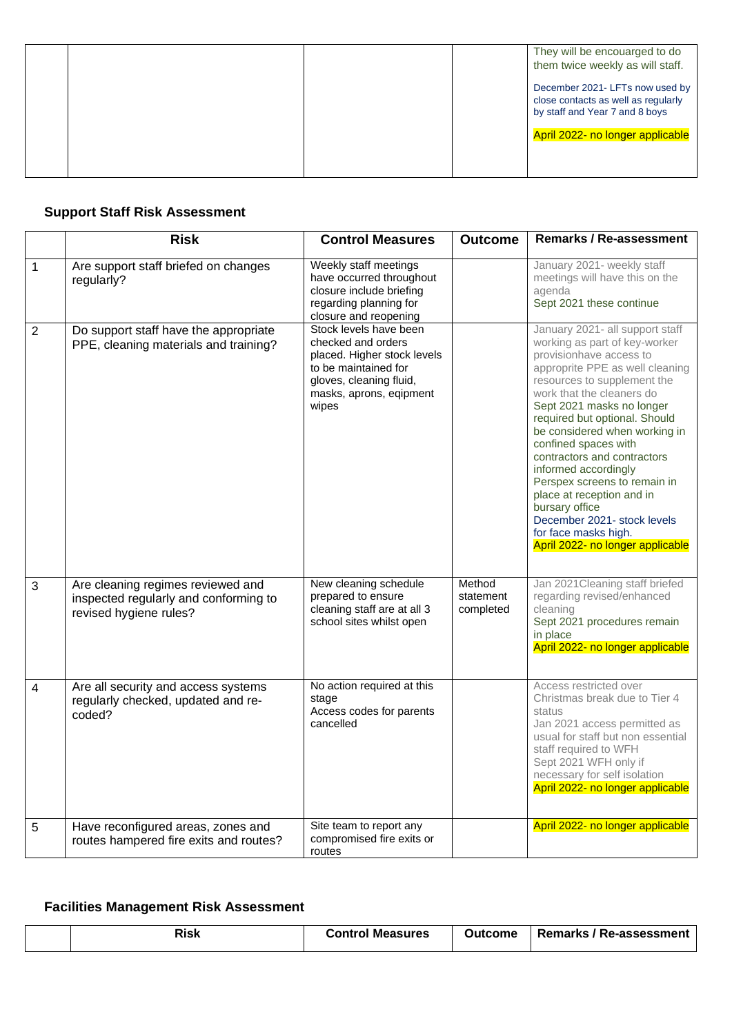|  |  | They will be encouarged to do<br>them twice weekly as will staff.                                        |
|--|--|----------------------------------------------------------------------------------------------------------|
|  |  | December 2021- LFTs now used by<br>close contacts as well as regularly<br>by staff and Year 7 and 8 boys |
|  |  | April 2022- no longer applicable                                                                         |
|  |  |                                                                                                          |

## **Support Staff Risk Assessment**

|                | <b>Risk</b>                                                                                          | <b>Control Measures</b>                                                                                                                                            | <b>Outcome</b>                   | <b>Remarks / Re-assessment</b>                                                                                                                                                                                                                                                                                                                                                                                                                                                                                                                     |
|----------------|------------------------------------------------------------------------------------------------------|--------------------------------------------------------------------------------------------------------------------------------------------------------------------|----------------------------------|----------------------------------------------------------------------------------------------------------------------------------------------------------------------------------------------------------------------------------------------------------------------------------------------------------------------------------------------------------------------------------------------------------------------------------------------------------------------------------------------------------------------------------------------------|
| $\mathbf{1}$   | Are support staff briefed on changes<br>regularly?                                                   | Weekly staff meetings<br>have occurred throughout<br>closure include briefing<br>regarding planning for<br>closure and reopening                                   |                                  | January 2021- weekly staff<br>meetings will have this on the<br>agenda<br>Sept 2021 these continue                                                                                                                                                                                                                                                                                                                                                                                                                                                 |
| $\overline{2}$ | Do support staff have the appropriate<br>PPE, cleaning materials and training?                       | Stock levels have been<br>checked and orders<br>placed. Higher stock levels<br>to be maintained for<br>gloves, cleaning fluid,<br>masks, aprons, eqipment<br>wipes |                                  | January 2021- all support staff<br>working as part of key-worker<br>provisionhave access to<br>approprite PPE as well cleaning<br>resources to supplement the<br>work that the cleaners do<br>Sept 2021 masks no longer<br>required but optional. Should<br>be considered when working in<br>confined spaces with<br>contractors and contractors<br>informed accordingly<br>Perspex screens to remain in<br>place at reception and in<br>bursary office<br>December 2021- stock levels<br>for face masks high.<br>April 2022- no longer applicable |
| 3              | Are cleaning regimes reviewed and<br>inspected regularly and conforming to<br>revised hygiene rules? | New cleaning schedule<br>prepared to ensure<br>cleaning staff are at all 3<br>school sites whilst open                                                             | Method<br>statement<br>completed | Jan 2021 Cleaning staff briefed<br>regarding revised/enhanced<br>cleaning<br>Sept 2021 procedures remain<br>in place<br>April 2022- no longer applicable                                                                                                                                                                                                                                                                                                                                                                                           |
| $\overline{4}$ | Are all security and access systems<br>regularly checked, updated and re-<br>coded?                  | No action required at this<br>stage<br>Access codes for parents<br>cancelled                                                                                       |                                  | Access restricted over<br>Christmas break due to Tier 4<br>status<br>Jan 2021 access permitted as<br>usual for staff but non essential<br>staff required to WFH<br>Sept 2021 WFH only if<br>necessary for self isolation<br>April 2022- no longer applicable                                                                                                                                                                                                                                                                                       |
| 5              | Have reconfigured areas, zones and<br>routes hampered fire exits and routes?                         | Site team to report any<br>compromised fire exits or<br>routes                                                                                                     |                                  | April 2022- no longer applicable                                                                                                                                                                                                                                                                                                                                                                                                                                                                                                                   |

## **Facilities Management Risk Assessment**

|  |  | Risk | <b>Control Measures</b> | Outcome | ' Remarks / Re-assessment |
|--|--|------|-------------------------|---------|---------------------------|
|--|--|------|-------------------------|---------|---------------------------|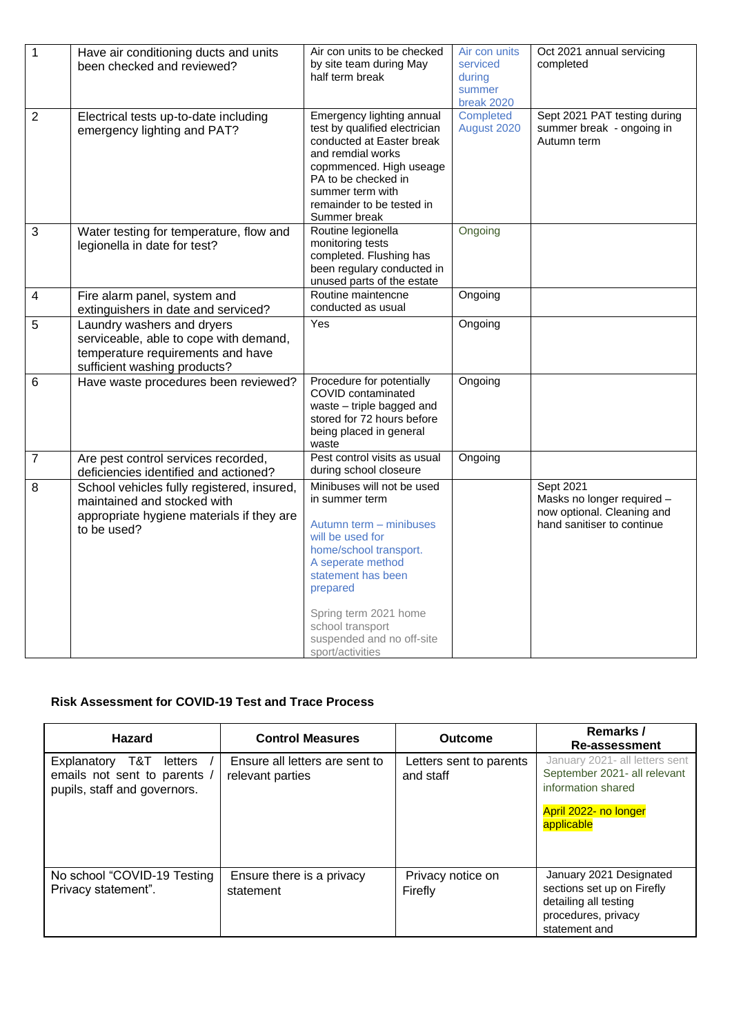| $\mathbf{1}$     | Have air conditioning ducts and units<br>been checked and reviewed?                                                                       | Air con units to be checked<br>by site team during May<br>half term break                                                                                                                                                                                                  | Air con units<br>serviced<br>during<br>summer<br>break 2020 | Oct 2021 annual servicing<br>completed                                                                     |
|------------------|-------------------------------------------------------------------------------------------------------------------------------------------|----------------------------------------------------------------------------------------------------------------------------------------------------------------------------------------------------------------------------------------------------------------------------|-------------------------------------------------------------|------------------------------------------------------------------------------------------------------------|
| $\overline{2}$   | Electrical tests up-to-date including<br>emergency lighting and PAT?                                                                      | Emergency lighting annual<br>test by qualified electrician<br>conducted at Easter break<br>and remdial works<br>copmmenced. High useage<br>PA to be checked in<br>summer term with<br>remainder to be tested in<br>Summer break                                            | Completed<br>August 2020                                    | Sept 2021 PAT testing during<br>summer break - ongoing in<br>Autumn term                                   |
| 3                | Water testing for temperature, flow and<br>legionella in date for test?                                                                   | Routine legionella<br>monitoring tests<br>completed. Flushing has<br>been regulary conducted in<br>unused parts of the estate                                                                                                                                              | Ongoing                                                     |                                                                                                            |
| $\overline{4}$   | Fire alarm panel, system and<br>extinguishers in date and serviced?                                                                       | Routine maintencne<br>conducted as usual                                                                                                                                                                                                                                   | Ongoing                                                     |                                                                                                            |
| 5                | Laundry washers and dryers<br>serviceable, able to cope with demand,<br>temperature requirements and have<br>sufficient washing products? | Yes                                                                                                                                                                                                                                                                        | Ongoing                                                     |                                                                                                            |
| 6                | Have waste procedures been reviewed?                                                                                                      | Procedure for potentially<br>COVID contaminated<br>waste - triple bagged and<br>stored for 72 hours before<br>being placed in general<br>waste                                                                                                                             | Ongoing                                                     |                                                                                                            |
| $\boldsymbol{7}$ | Are pest control services recorded,<br>deficiencies identified and actioned?                                                              | Pest control visits as usual<br>during school closeure                                                                                                                                                                                                                     | Ongoing                                                     |                                                                                                            |
| 8                | School vehicles fully registered, insured,<br>maintained and stocked with<br>appropriate hygiene materials if they are<br>to be used?     | Minibuses will not be used<br>in summer term<br>Autumn term - minibuses<br>will be used for<br>home/school transport.<br>A seperate method<br>statement has been<br>prepared<br>Spring term 2021 home<br>school transport<br>suspended and no off-site<br>sport/activities |                                                             | <b>Sept 2021</b><br>Masks no longer required -<br>now optional. Cleaning and<br>hand sanitiser to continue |

### **Risk Assessment for COVID-19 Test and Trace Process**

| <b>Hazard</b>                                                                                 | <b>Control Measures</b>                            | <b>Outcome</b>                       | Remarks /<br>Re-assessment                                                                                                  |
|-----------------------------------------------------------------------------------------------|----------------------------------------------------|--------------------------------------|-----------------------------------------------------------------------------------------------------------------------------|
| T&T<br>Explanatory<br>letters<br>emails not sent to parents /<br>pupils, staff and governors. | Ensure all letters are sent to<br>relevant parties | Letters sent to parents<br>and staff | January 2021- all letters sent<br>September 2021- all relevant<br>information shared<br>April 2022- no longer<br>applicable |
| No school "COVID-19 Testing<br>Privacy statement".                                            | Ensure there is a privacy<br>statement             | Privacy notice on<br>Firefly         | January 2021 Designated<br>sections set up on Firefly<br>detailing all testing<br>procedures, privacy<br>statement and      |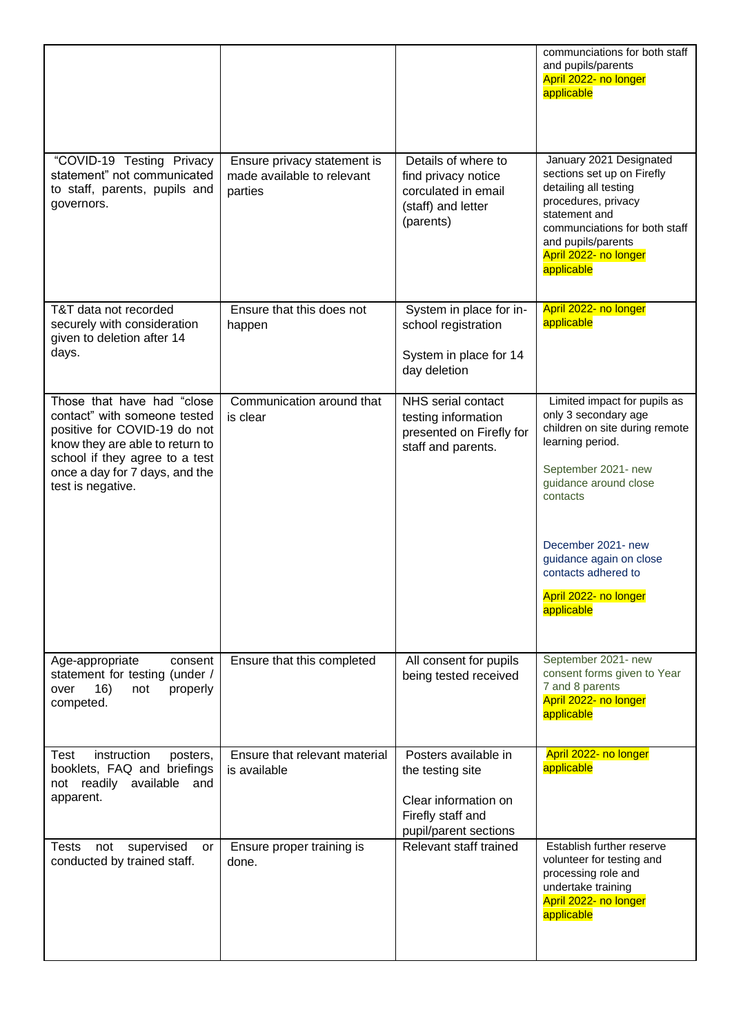|                                                                                                                                                                                                                        |                                                                      |                                                                                                                | communciations for both staff<br>and pupils/parents<br>April 2022- no longer<br>applicable                                                                                                                                                                                            |
|------------------------------------------------------------------------------------------------------------------------------------------------------------------------------------------------------------------------|----------------------------------------------------------------------|----------------------------------------------------------------------------------------------------------------|---------------------------------------------------------------------------------------------------------------------------------------------------------------------------------------------------------------------------------------------------------------------------------------|
| "COVID-19 Testing Privacy<br>statement" not communicated<br>to staff, parents, pupils and<br>governors.                                                                                                                | Ensure privacy statement is<br>made available to relevant<br>parties | Details of where to<br>find privacy notice<br>corculated in email<br>(staff) and letter<br>(parents)           | January 2021 Designated<br>sections set up on Firefly<br>detailing all testing<br>procedures, privacy<br>statement and<br>communciations for both staff<br>and pupils/parents<br>April 2022- no longer<br>applicable                                                                  |
| T&T data not recorded<br>securely with consideration<br>given to deletion after 14<br>days.                                                                                                                            | Ensure that this does not<br>happen                                  | System in place for in-<br>school registration<br>System in place for 14<br>day deletion                       | April 2022- no longer<br>applicable                                                                                                                                                                                                                                                   |
| Those that have had "close<br>contact" with someone tested<br>positive for COVID-19 do not<br>know they are able to return to<br>school if they agree to a test<br>once a day for 7 days, and the<br>test is negative. | Communication around that<br>is clear                                | NHS serial contact<br>testing information<br>presented on Firefly for<br>staff and parents.                    | Limited impact for pupils as<br>only 3 secondary age<br>children on site during remote<br>learning period.<br>September 2021- new<br>guidance around close<br>contacts<br>December 2021- new<br>guidance again on close<br>contacts adhered to<br>April 2022- no longer<br>applicable |
| Age-appropriate<br>consent<br>statement for testing (under /<br>16)<br>properly<br>over<br>not<br>competed.                                                                                                            | Ensure that this completed                                           | All consent for pupils<br>being tested received                                                                | September 2021- new<br>consent forms given to Year<br>7 and 8 parents<br>April 2022- no longer<br>applicable                                                                                                                                                                          |
| instruction<br>Test<br>posters,<br>booklets, FAQ and briefings<br>not readily available<br>and<br>apparent.                                                                                                            | Ensure that relevant material<br>is available                        | Posters available in<br>the testing site<br>Clear information on<br>Firefly staff and<br>pupil/parent sections | April 2022- no longer<br>applicable                                                                                                                                                                                                                                                   |
| Tests<br>not<br>supervised<br>or<br>conducted by trained staff.                                                                                                                                                        | Ensure proper training is<br>done.                                   | Relevant staff trained                                                                                         | Establish further reserve<br>volunteer for testing and<br>processing role and<br>undertake training<br>April 2022- no longer<br>applicable                                                                                                                                            |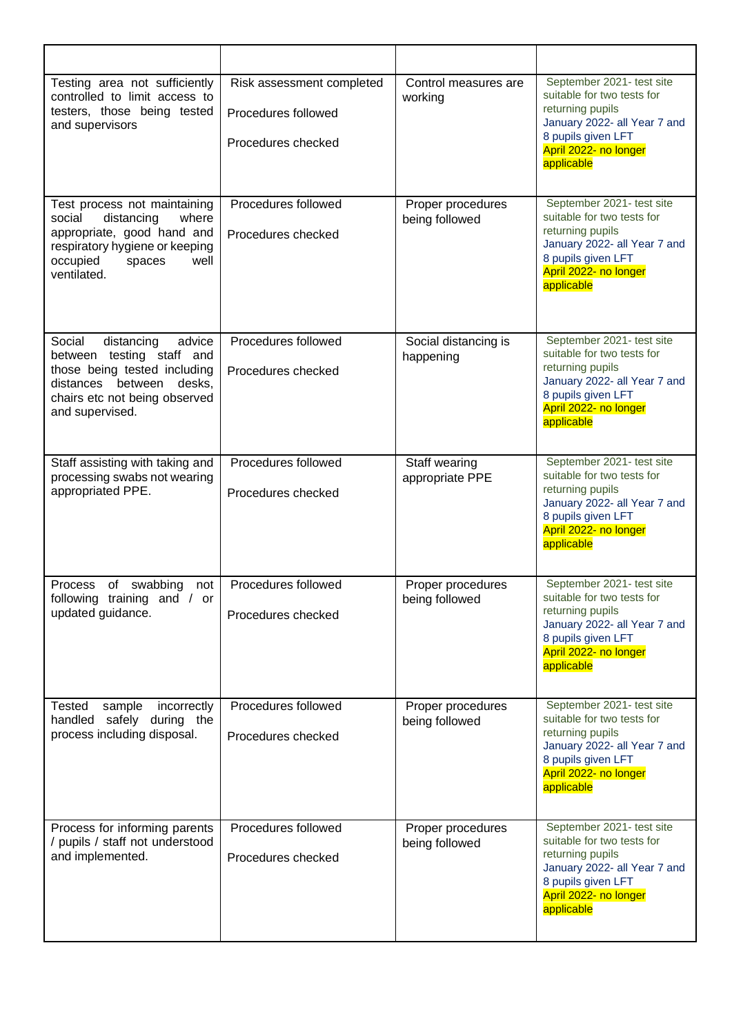| Testing area not sufficiently<br>controlled to limit access to<br>testers, those being tested<br>and supervisors                                                               | Risk assessment completed<br>Procedures followed<br>Procedures checked | Control measures are<br>working     | September 2021- test site<br>suitable for two tests for<br>returning pupils<br>January 2022- all Year 7 and<br>8 pupils given LFT<br>April 2022- no longer<br>applicable |
|--------------------------------------------------------------------------------------------------------------------------------------------------------------------------------|------------------------------------------------------------------------|-------------------------------------|--------------------------------------------------------------------------------------------------------------------------------------------------------------------------|
| Test process not maintaining<br>social<br>distancing<br>where<br>appropriate, good hand and<br>respiratory hygiene or keeping<br>occupied<br>spaces<br>well<br>ventilated.     | Procedures followed<br>Procedures checked                              | Proper procedures<br>being followed | September 2021- test site<br>suitable for two tests for<br>returning pupils<br>January 2022- all Year 7 and<br>8 pupils given LFT<br>April 2022- no longer<br>applicable |
| distancing<br>advice<br>Social<br>between testing staff and<br>those being tested including<br>distances between<br>desks,<br>chairs etc not being observed<br>and supervised. | Procedures followed<br>Procedures checked                              | Social distancing is<br>happening   | September 2021- test site<br>suitable for two tests for<br>returning pupils<br>January 2022- all Year 7 and<br>8 pupils given LFT<br>April 2022- no longer<br>applicable |
| Staff assisting with taking and<br>processing swabs not wearing<br>appropriated PPE.                                                                                           | Procedures followed<br>Procedures checked                              | Staff wearing<br>appropriate PPE    | September 2021- test site<br>suitable for two tests for<br>returning pupils<br>January 2022- all Year 7 and<br>8 pupils given LFT<br>April 2022- no longer<br>applicable |
| Process of swabbing<br>not<br>following training and / or<br>updated guidance.                                                                                                 | Procedures followed<br>Procedures checked                              | Proper procedures<br>being followed | September 2021- test site<br>suitable for two tests for<br>returning pupils<br>January 2022- all Year 7 and<br>8 pupils given LFT<br>April 2022- no longer<br>applicable |
| <b>Tested</b><br>sample<br>incorrectly<br>handled safely<br>during the<br>process including disposal.                                                                          | Procedures followed<br>Procedures checked                              | Proper procedures<br>being followed | September 2021- test site<br>suitable for two tests for<br>returning pupils<br>January 2022- all Year 7 and<br>8 pupils given LFT<br>April 2022- no longer<br>applicable |
| Process for informing parents<br>/ pupils / staff not understood<br>and implemented.                                                                                           | Procedures followed<br>Procedures checked                              | Proper procedures<br>being followed | September 2021- test site<br>suitable for two tests for<br>returning pupils<br>January 2022- all Year 7 and<br>8 pupils given LFT<br>April 2022- no longer<br>applicable |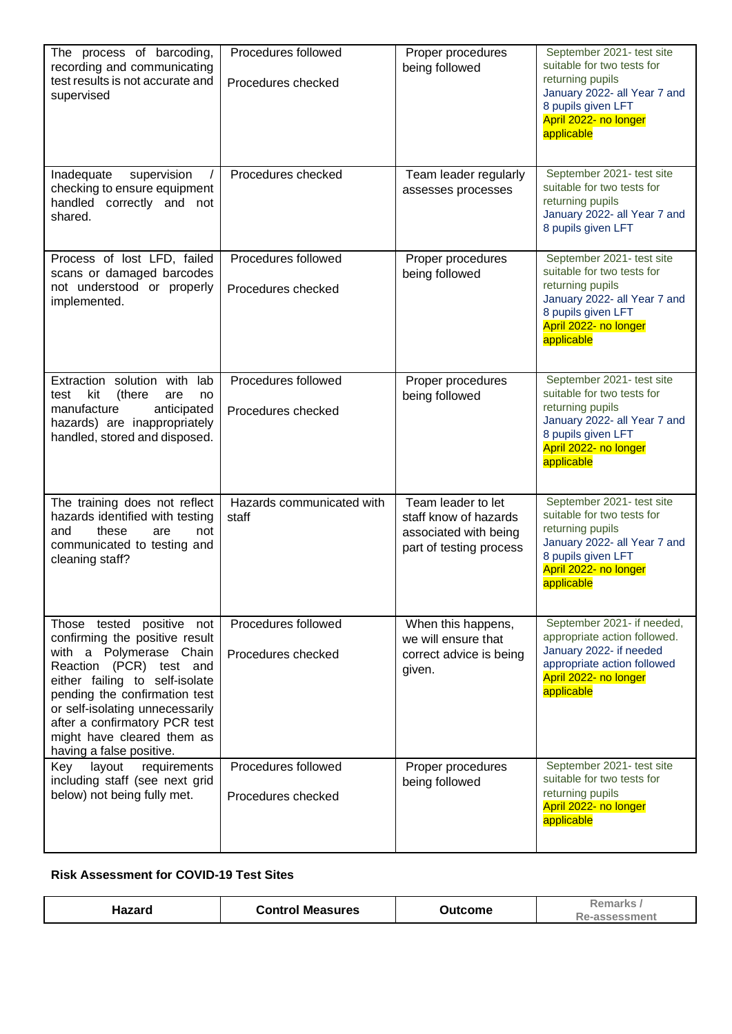| The process of barcoding,<br>recording and communicating<br>test results is not accurate and<br>supervised                                                                                                                                                                                                         | Procedures followed<br>Procedures checked | Proper procedures<br>being followed                                                             | September 2021- test site<br>suitable for two tests for<br>returning pupils<br>January 2022- all Year 7 and<br>8 pupils given LFT<br>April 2022- no longer<br>applicable |
|--------------------------------------------------------------------------------------------------------------------------------------------------------------------------------------------------------------------------------------------------------------------------------------------------------------------|-------------------------------------------|-------------------------------------------------------------------------------------------------|--------------------------------------------------------------------------------------------------------------------------------------------------------------------------|
| Inadequate<br>supervision<br>checking to ensure equipment<br>handled correctly and not<br>shared.                                                                                                                                                                                                                  | Procedures checked                        | Team leader regularly<br>assesses processes                                                     | September 2021- test site<br>suitable for two tests for<br>returning pupils<br>January 2022- all Year 7 and<br>8 pupils given LFT                                        |
| Process of lost LFD, failed<br>scans or damaged barcodes<br>not understood or properly<br>implemented.                                                                                                                                                                                                             | Procedures followed<br>Procedures checked | Proper procedures<br>being followed                                                             | September 2021- test site<br>suitable for two tests for<br>returning pupils<br>January 2022- all Year 7 and<br>8 pupils given LFT<br>April 2022- no longer<br>applicable |
| Extraction solution with<br>lab<br>kit<br>test<br>(there<br>are<br>no<br>manufacture<br>anticipated<br>hazards) are inappropriately<br>handled, stored and disposed.                                                                                                                                               | Procedures followed<br>Procedures checked | Proper procedures<br>being followed                                                             | September 2021- test site<br>suitable for two tests for<br>returning pupils<br>January 2022- all Year 7 and<br>8 pupils given LFT<br>April 2022- no longer<br>applicable |
| The training does not reflect<br>hazards identified with testing<br>and<br>these<br>not<br>are<br>communicated to testing and<br>cleaning staff?                                                                                                                                                                   | Hazards communicated with<br>staff        | Team leader to let<br>staff know of hazards<br>associated with being<br>part of testing process | September 2021- test site<br>suitable for two tests for<br>returning pupils<br>January 2022- all Year 7 and<br>8 pupils given LFT<br>April 2022- no longer<br>applicable |
| Those tested positive not<br>confirming the positive result<br>with a Polymerase Chain<br>Reaction (PCR) test and<br>either failing to self-isolate<br>pending the confirmation test<br>or self-isolating unnecessarily<br>after a confirmatory PCR test<br>might have cleared them as<br>having a false positive. | Procedures followed<br>Procedures checked | When this happens,<br>we will ensure that<br>correct advice is being<br>given.                  | September 2021- if needed,<br>appropriate action followed.<br>January 2022- if needed<br>appropriate action followed<br>April 2022- no longer<br>applicable              |
| layout<br>requirements<br>Key<br>including staff (see next grid<br>below) not being fully met.                                                                                                                                                                                                                     | Procedures followed<br>Procedures checked | Proper procedures<br>being followed                                                             | September 2021- test site<br>suitable for two tests for<br>returning pupils<br>April 2022- no longer<br>applicable                                                       |

#### **Risk Assessment for COVID-19 Test Sites**

| <b>Control Measures</b><br>1azard | Outcome | Remarks<br>Re-assessment |
|-----------------------------------|---------|--------------------------|
|-----------------------------------|---------|--------------------------|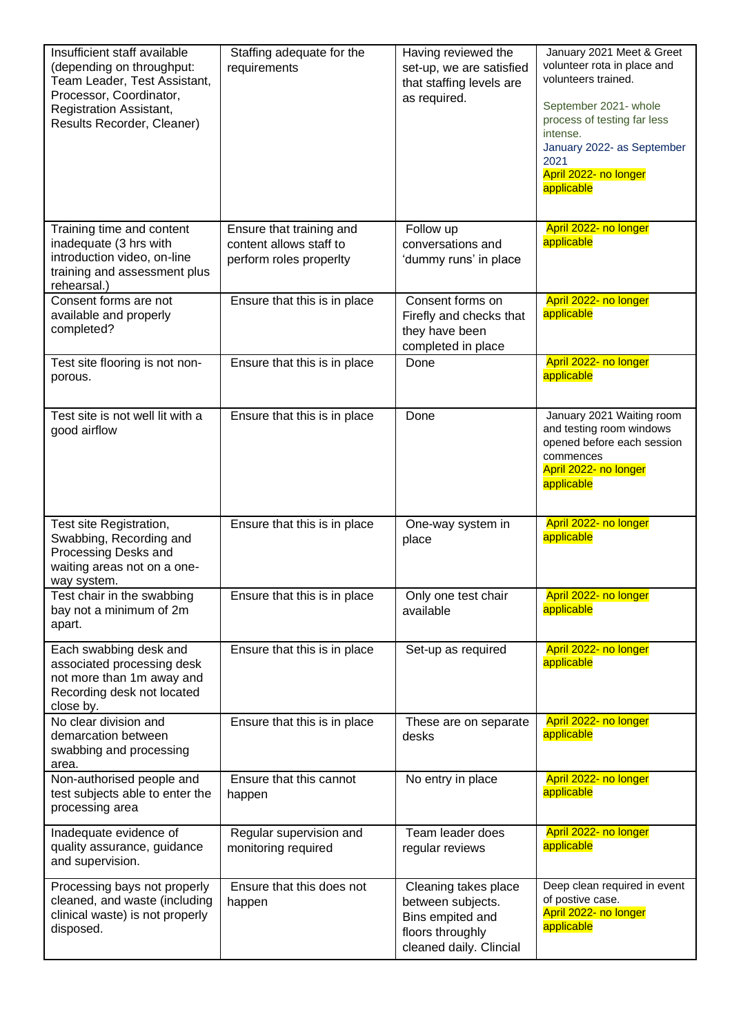| Insufficient staff available<br>(depending on throughput:<br>Team Leader, Test Assistant,<br>Processor, Coordinator,<br><b>Registration Assistant,</b><br>Results Recorder, Cleaner) | Staffing adequate for the<br>requirements                                      | Having reviewed the<br>set-up, we are satisfied<br>that staffing levels are<br>as required.                  | January 2021 Meet & Greet<br>volunteer rota in place and<br>volunteers trained.<br>September 2021- whole<br>process of testing far less<br>intense.<br>January 2022- as September<br>2021<br>April 2022- no longer<br>applicable |
|--------------------------------------------------------------------------------------------------------------------------------------------------------------------------------------|--------------------------------------------------------------------------------|--------------------------------------------------------------------------------------------------------------|----------------------------------------------------------------------------------------------------------------------------------------------------------------------------------------------------------------------------------|
| Training time and content<br>inadequate (3 hrs with<br>introduction video, on-line<br>training and assessment plus<br>rehearsal.)                                                    | Ensure that training and<br>content allows staff to<br>perform roles properlty | Follow up<br>conversations and<br>'dummy runs' in place                                                      | April 2022- no longer<br>applicable                                                                                                                                                                                              |
| Consent forms are not<br>available and properly<br>completed?                                                                                                                        | Ensure that this is in place                                                   | Consent forms on<br>Firefly and checks that<br>they have been<br>completed in place                          | April 2022- no longer<br>applicable                                                                                                                                                                                              |
| Test site flooring is not non-<br>porous.                                                                                                                                            | Ensure that this is in place                                                   | Done                                                                                                         | April 2022- no longer<br>applicable                                                                                                                                                                                              |
| Test site is not well lit with a<br>good airflow                                                                                                                                     | Ensure that this is in place                                                   | Done                                                                                                         | January 2021 Waiting room<br>and testing room windows<br>opened before each session<br>commences<br>April 2022- no longer<br>applicable                                                                                          |
| Test site Registration,<br>Swabbing, Recording and<br>Processing Desks and<br>waiting areas not on a one-<br>way system.                                                             | Ensure that this is in place                                                   | One-way system in<br>place                                                                                   | April 2022- no longer<br>applicable                                                                                                                                                                                              |
| Test chair in the swabbing<br>bay not a minimum of 2m<br>apart.                                                                                                                      | Ensure that this is in place                                                   | Only one test chair<br>available                                                                             | April 2022- no longer<br>applicable                                                                                                                                                                                              |
| Each swabbing desk and<br>associated processing desk<br>not more than 1m away and<br>Recording desk not located<br>close by.                                                         | Ensure that this is in place                                                   | Set-up as required                                                                                           | April 2022- no longer<br>applicable                                                                                                                                                                                              |
| No clear division and<br>demarcation between<br>swabbing and processing<br>area.                                                                                                     | Ensure that this is in place                                                   | These are on separate<br>desks                                                                               | April 2022- no longer<br>applicable                                                                                                                                                                                              |
| Non-authorised people and<br>test subjects able to enter the<br>processing area                                                                                                      | Ensure that this cannot<br>happen                                              | No entry in place                                                                                            | April 2022- no longer<br>applicable                                                                                                                                                                                              |
| Inadequate evidence of<br>quality assurance, guidance<br>and supervision.                                                                                                            | Regular supervision and<br>monitoring required                                 | Team leader does<br>regular reviews                                                                          | April 2022- no longer<br>applicable                                                                                                                                                                                              |
| Processing bays not properly<br>cleaned, and waste (including<br>clinical waste) is not properly<br>disposed.                                                                        | Ensure that this does not<br>happen                                            | Cleaning takes place<br>between subjects.<br>Bins empited and<br>floors throughly<br>cleaned daily. Clincial | Deep clean required in event<br>of postive case.<br>April 2022- no longer<br>applicable                                                                                                                                          |